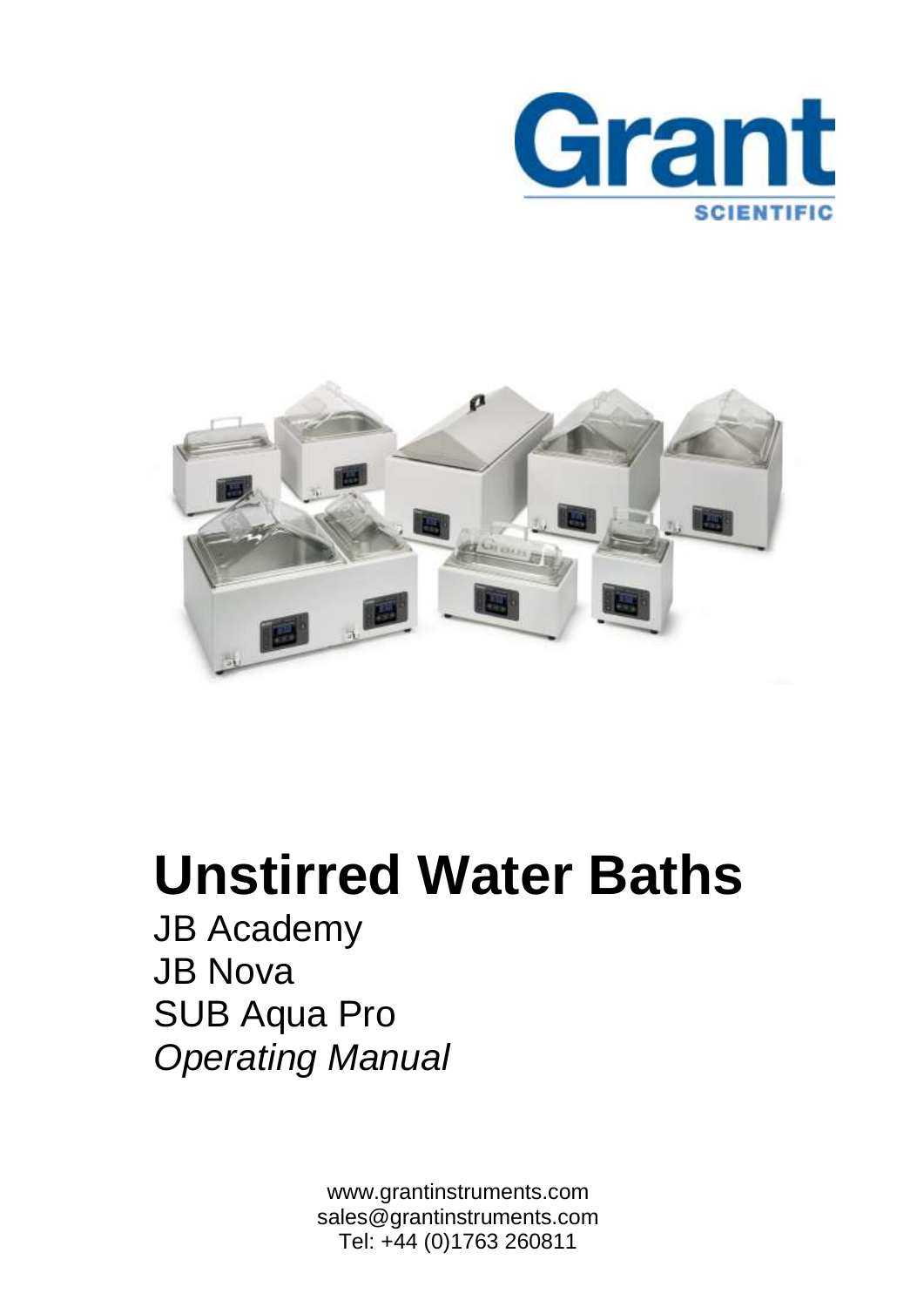



# **Unstirred Water Baths**

JB Academy JB Nova SUB Aqua Pro *Operating Manual*

Tel: +44 (0)1763 260811 www.grantinstruments.com sales@grantinstruments.com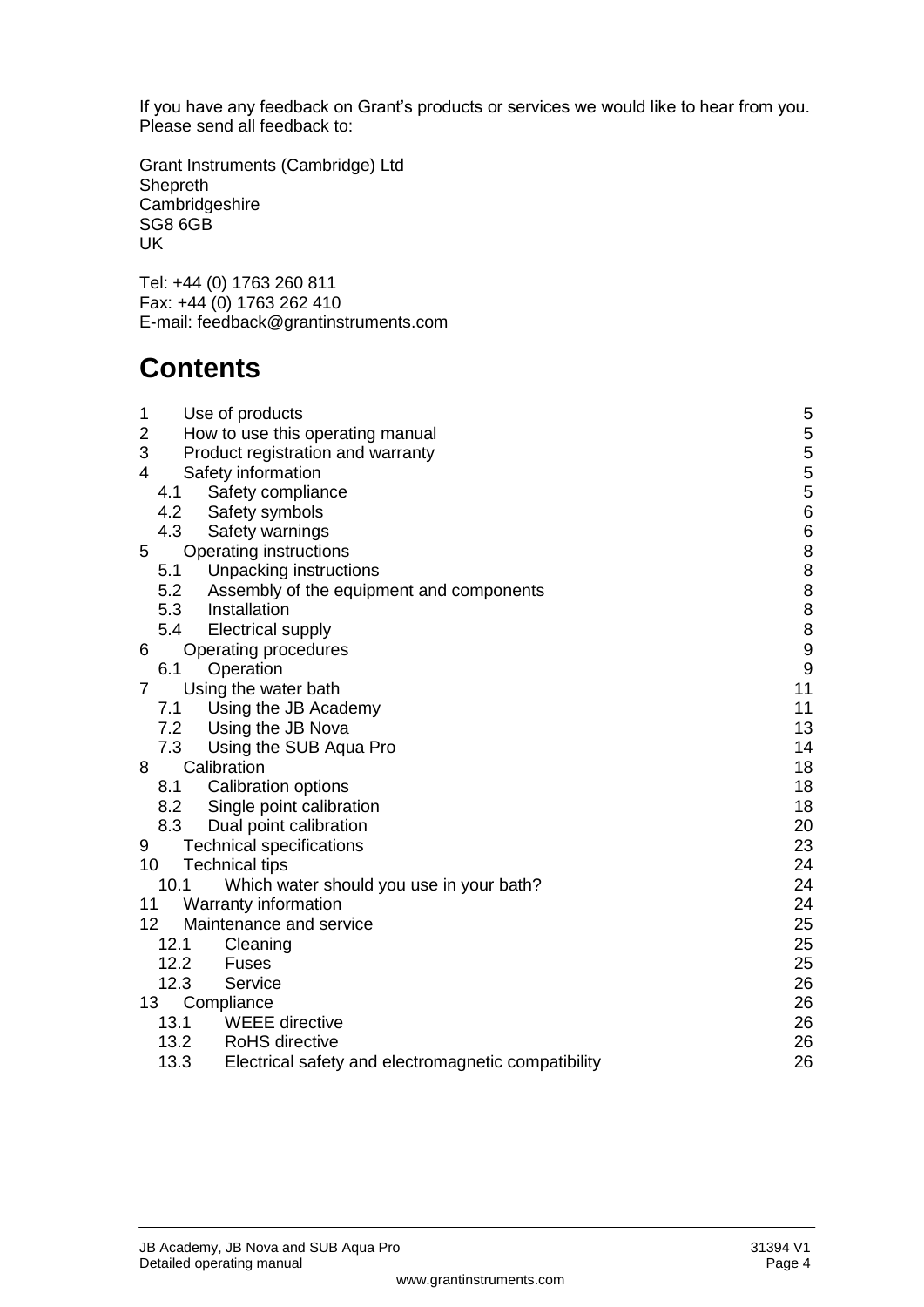If you have any feedback on Grant's products or services we would like to hear from you. Please send all feedback to:

Grant Instruments (Cambridge) Ltd Shepreth Cambridgeshire SG8 6GB UK

Tel: +44 (0) 1763 260 811 Fax: +44 (0) 1763 262 410 E-mail: feedback@grantinstruments.com

## **Contents**

| 1                       |      | Use of products                                     | 5                |
|-------------------------|------|-----------------------------------------------------|------------------|
| $\overline{\mathbf{c}}$ |      | How to use this operating manual                    | 5                |
| 3                       |      | Product registration and warranty                   | 5                |
| 4                       |      | Safety information                                  | 5                |
|                         | 4.1  | Safety compliance                                   | $\frac{5}{6}$    |
|                         | 4.2  | Safety symbols                                      |                  |
|                         | 4.3  | Safety warnings                                     | $\boldsymbol{6}$ |
| 5                       |      | Operating instructions                              | 8                |
|                         | 5.1  | Unpacking instructions                              | 8888             |
|                         | 5.2  | Assembly of the equipment and components            |                  |
|                         | 5.3  | Installation                                        |                  |
|                         | 5.4  | <b>Electrical supply</b>                            |                  |
| 6                       |      | Operating procedures                                | $\boldsymbol{9}$ |
|                         | 6.1  | Operation                                           | $\boldsymbol{9}$ |
| $\overline{7}$          |      | Using the water bath                                | 11               |
|                         | 7.1  | Using the JB Academy                                | 11               |
|                         |      | 7.2 Using the JB Nova                               | 13               |
|                         |      | 7.3 Using the SUB Aqua Pro                          | 14               |
| 8                       |      | Calibration                                         | 18               |
|                         | 8.1  | <b>Calibration options</b>                          | 18               |
|                         | 8.2  | Single point calibration                            | 18               |
|                         | 8.3  | Dual point calibration                              | 20               |
| 9                       |      | <b>Technical specifications</b>                     | 23               |
| 10                      |      | <b>Technical tips</b>                               | 24               |
|                         | 10.1 | Which water should you use in your bath?            | 24               |
| 11                      |      | Warranty information                                | 24               |
| 12 <sup>°</sup>         |      | Maintenance and service                             | 25               |
|                         | 12.1 | Cleaning                                            | 25               |
|                         | 12.2 | Fuses                                               | 25               |
|                         | 12.3 | Service                                             | 26               |
|                         | 13   | Compliance                                          | 26               |
|                         | 13.1 | <b>WEEE</b> directive                               | 26               |
|                         |      | 13.2 RoHS directive                                 | 26               |
|                         | 13.3 | Electrical safety and electromagnetic compatibility | 26               |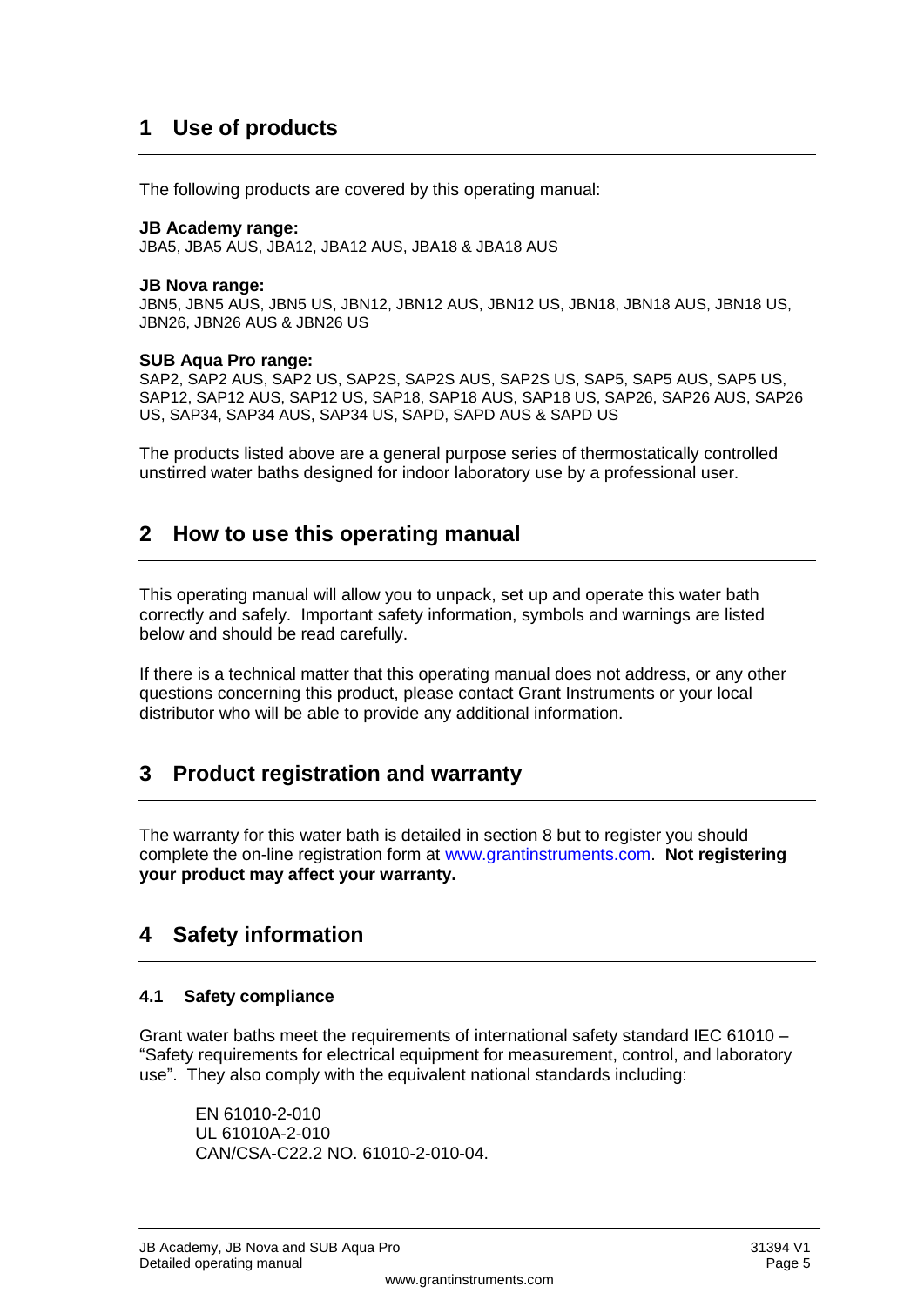## <span id="page-2-0"></span>**1 Use of products**

The following products are covered by this operating manual:

#### **JB Academy range:**

JBA5, JBA5 AUS, JBA12, JBA12 AUS, JBA18 & JBA18 AUS

#### **JB Nova range:**

JBN5, JBN5 AUS, JBN5 US, JBN12, JBN12 AUS, JBN12 US, JBN18, JBN18 AUS, JBN18 US, JBN26, JBN26 AUS & JBN26 US

#### **SUB Aqua Pro range:**

SAP2, SAP2 AUS, SAP2 US, SAP2S, SAP2S AUS, SAP2S US, SAP5, SAP5 AUS, SAP5 US, SAP12, SAP12 AUS, SAP12 US, SAP18, SAP18 AUS, SAP18 US, SAP26, SAP26 AUS, SAP26 US, SAP34, SAP34 AUS, SAP34 US, SAPD, SAPD AUS & SAPD US

The products listed above are a general purpose series of thermostatically controlled unstirred water baths designed for indoor laboratory use by a professional user.

### <span id="page-2-1"></span>**2 How to use this operating manual**

This operating manual will allow you to unpack, set up and operate this water bath correctly and safely. Important safety information, symbols and warnings are listed below and should be read carefully.

If there is a technical matter that this operating manual does not address, or any other questions concerning this product, please contact Grant Instruments or your local distributor who will be able to provide any additional information.

## <span id="page-2-2"></span>**3 Product registration and warranty**

The warranty for this water bath is detailed in section 8 but to register you should complete the on-line registration form at [www.grantinstruments.com.](http://www.grantinstruments.com/) **Not registering your product may affect your warranty.**

## <span id="page-2-3"></span>**4 Safety information**

#### <span id="page-2-4"></span>**4.1 Safety compliance**

Grant water baths meet the requirements of international safety standard IEC 61010 – "Safety requirements for electrical equipment for measurement, control, and laboratory use". They also comply with the equivalent national standards including:

EN 61010-2-010 UL 61010A-2-010 CAN/CSA-C22.2 NO. 61010-2-010-04.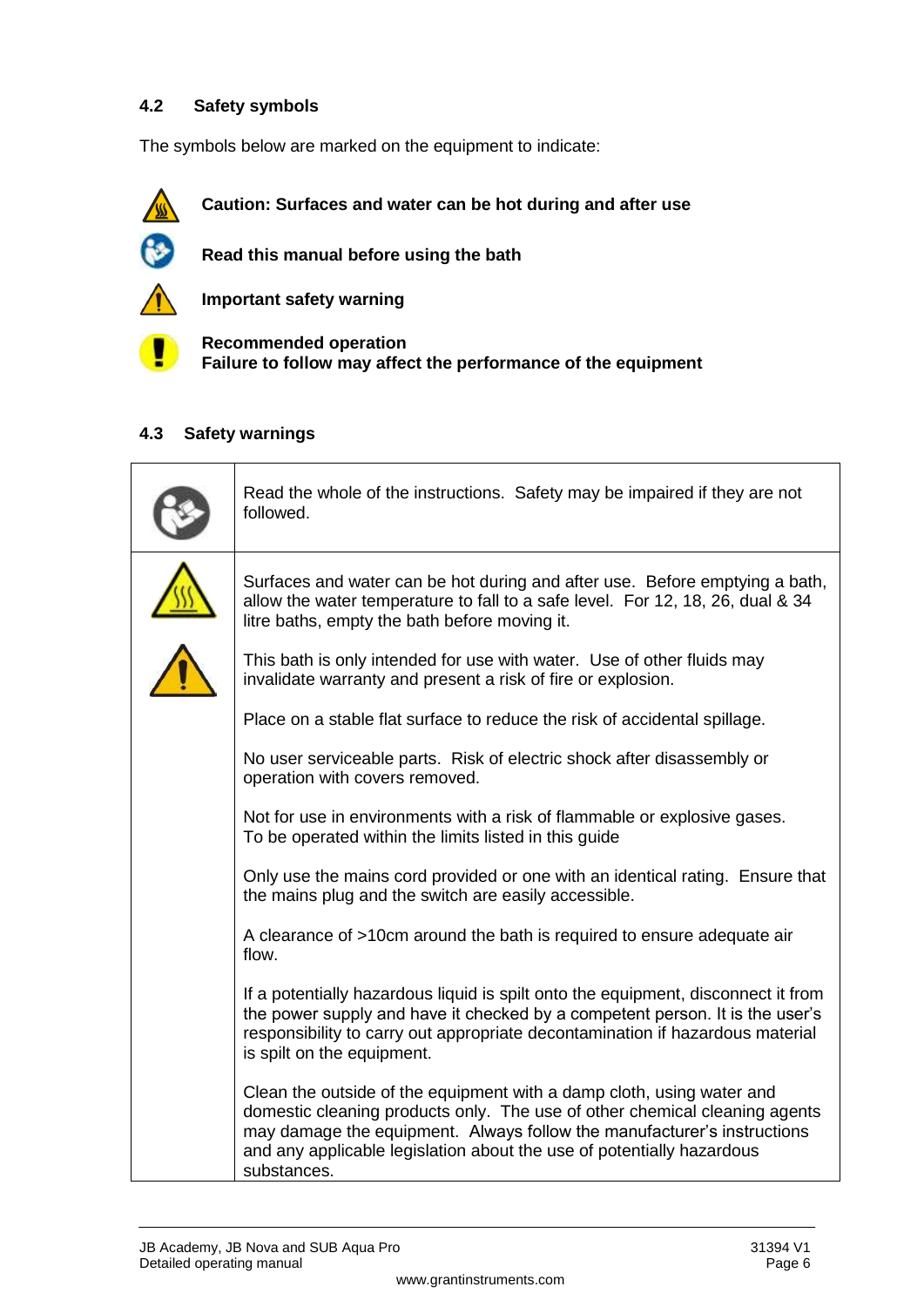#### <span id="page-3-0"></span>**4.2 Safety symbols**

The symbols below are marked on the equipment to indicate:



**Caution: Surfaces and water can be hot during and after use**



**Read this manual before using the bath**



**Important safety warning**

**Recommended operation Failure to follow may affect the performance of the equipment**

#### <span id="page-3-1"></span>**4.3 Safety warnings**

| Read the whole of the instructions. Safety may be impaired if they are not<br>followed.                                                                                                                                                                                                                                |
|------------------------------------------------------------------------------------------------------------------------------------------------------------------------------------------------------------------------------------------------------------------------------------------------------------------------|
| Surfaces and water can be hot during and after use. Before emptying a bath,<br>allow the water temperature to fall to a safe level. For 12, 18, 26, dual & 34<br>litre baths, empty the bath before moving it.                                                                                                         |
| This bath is only intended for use with water. Use of other fluids may<br>invalidate warranty and present a risk of fire or explosion.                                                                                                                                                                                 |
| Place on a stable flat surface to reduce the risk of accidental spillage.                                                                                                                                                                                                                                              |
| No user serviceable parts. Risk of electric shock after disassembly or<br>operation with covers removed.                                                                                                                                                                                                               |
| Not for use in environments with a risk of flammable or explosive gases.<br>To be operated within the limits listed in this guide                                                                                                                                                                                      |
| Only use the mains cord provided or one with an identical rating. Ensure that<br>the mains plug and the switch are easily accessible.                                                                                                                                                                                  |
| A clearance of >10cm around the bath is required to ensure adequate air<br>flow.                                                                                                                                                                                                                                       |
| If a potentially hazardous liquid is spilt onto the equipment, disconnect it from<br>the power supply and have it checked by a competent person. It is the user's<br>responsibility to carry out appropriate decontamination if hazardous material<br>is spilt on the equipment.                                       |
| Clean the outside of the equipment with a damp cloth, using water and<br>domestic cleaning products only. The use of other chemical cleaning agents<br>may damage the equipment. Always follow the manufacturer's instructions<br>and any applicable legislation about the use of potentially hazardous<br>substances. |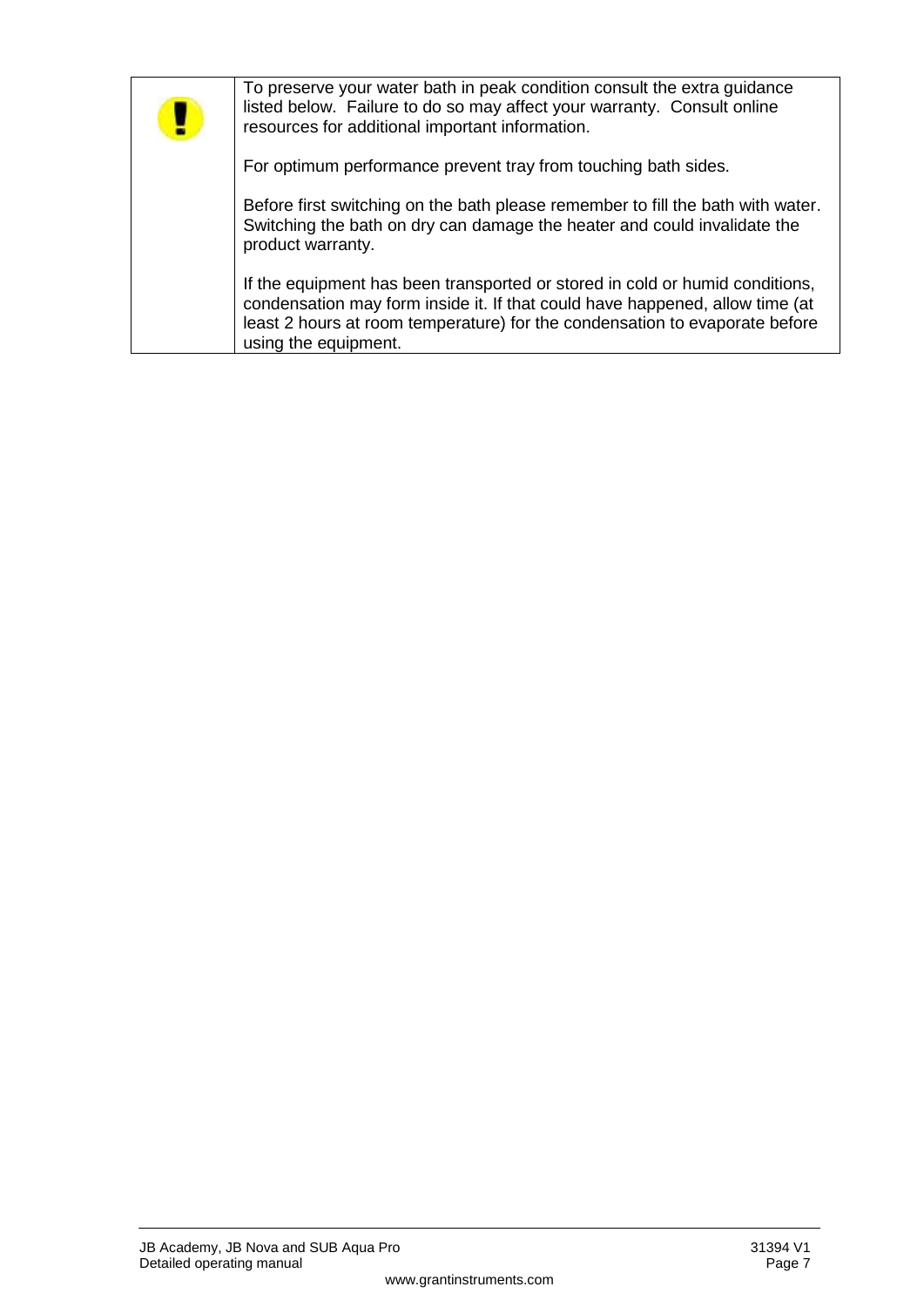| To preserve your water bath in peak condition consult the extra guidance<br>listed below. Failure to do so may affect your warranty. Consult online<br>resources for additional important information.                                                              |
|---------------------------------------------------------------------------------------------------------------------------------------------------------------------------------------------------------------------------------------------------------------------|
| For optimum performance prevent tray from touching bath sides.                                                                                                                                                                                                      |
| Before first switching on the bath please remember to fill the bath with water.<br>Switching the bath on dry can damage the heater and could invalidate the<br>product warranty.                                                                                    |
| If the equipment has been transported or stored in cold or humid conditions,<br>condensation may form inside it. If that could have happened, allow time (at<br>least 2 hours at room temperature) for the condensation to evaporate before<br>using the equipment. |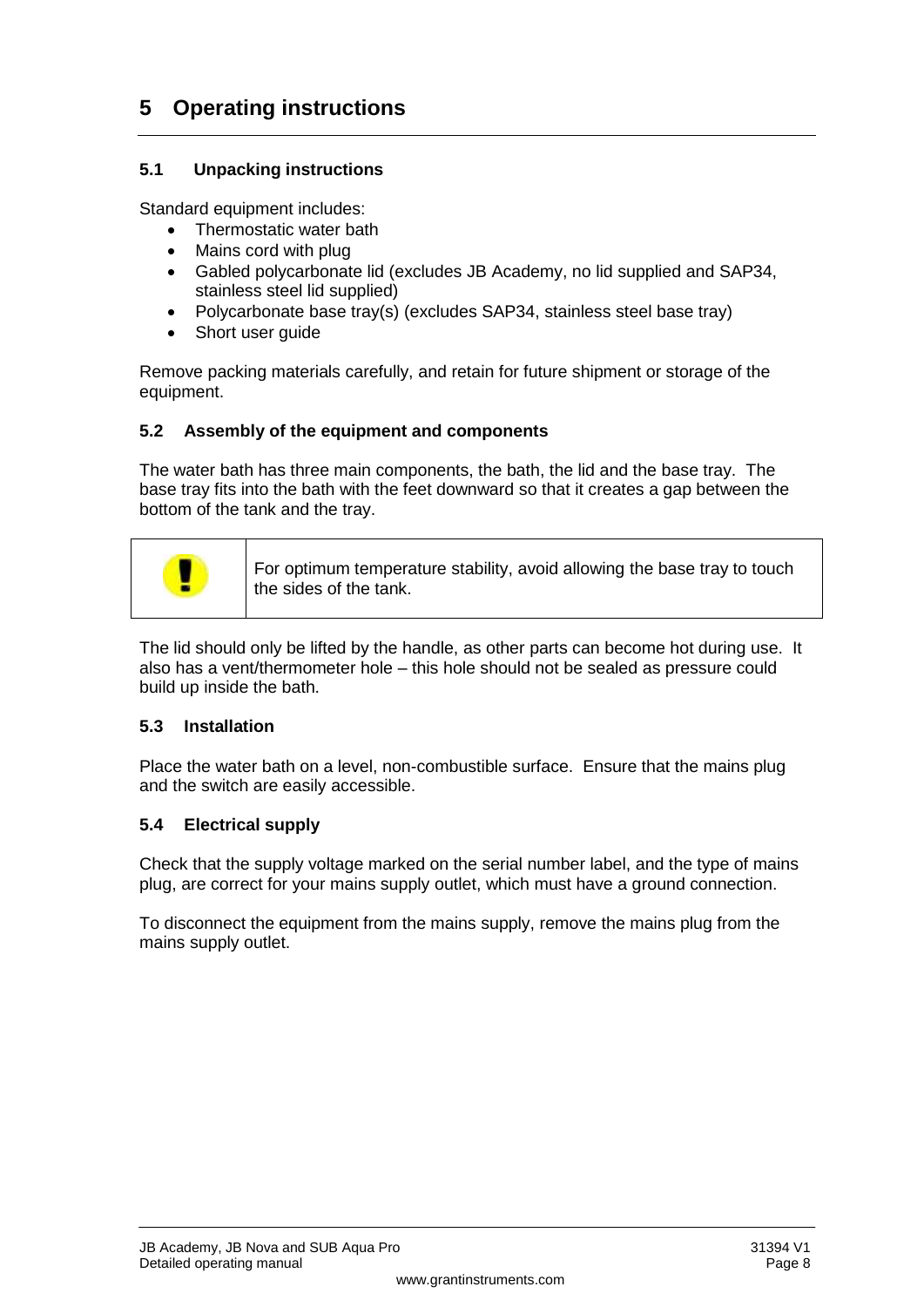## <span id="page-5-0"></span>**5 Operating instructions**

#### <span id="page-5-1"></span>**5.1 Unpacking instructions**

Standard equipment includes:

- Thermostatic water bath
- Mains cord with plug
- Gabled polycarbonate lid (excludes JB Academy, no lid supplied and SAP34, stainless steel lid supplied)
- Polycarbonate base tray(s) (excludes SAP34, stainless steel base tray)
- Short user quide

Remove packing materials carefully, and retain for future shipment or storage of the equipment.

#### <span id="page-5-2"></span>**5.2 Assembly of the equipment and components**

The water bath has three main components, the bath, the lid and the base tray. The base tray fits into the bath with the feet downward so that it creates a gap between the bottom of the tank and the tray.



For optimum temperature stability, avoid allowing the base tray to touch the sides of the tank.

The lid should only be lifted by the handle, as other parts can become hot during use. It also has a vent/thermometer hole – this hole should not be sealed as pressure could build up inside the bath.

#### <span id="page-5-3"></span>**5.3 Installation**

Place the water bath on a level, non-combustible surface. Ensure that the mains plug and the switch are easily accessible.

#### <span id="page-5-4"></span>**5.4 Electrical supply**

Check that the supply voltage marked on the serial number label, and the type of mains plug, are correct for your mains supply outlet, which must have a ground connection.

To disconnect the equipment from the mains supply, remove the mains plug from the mains supply outlet.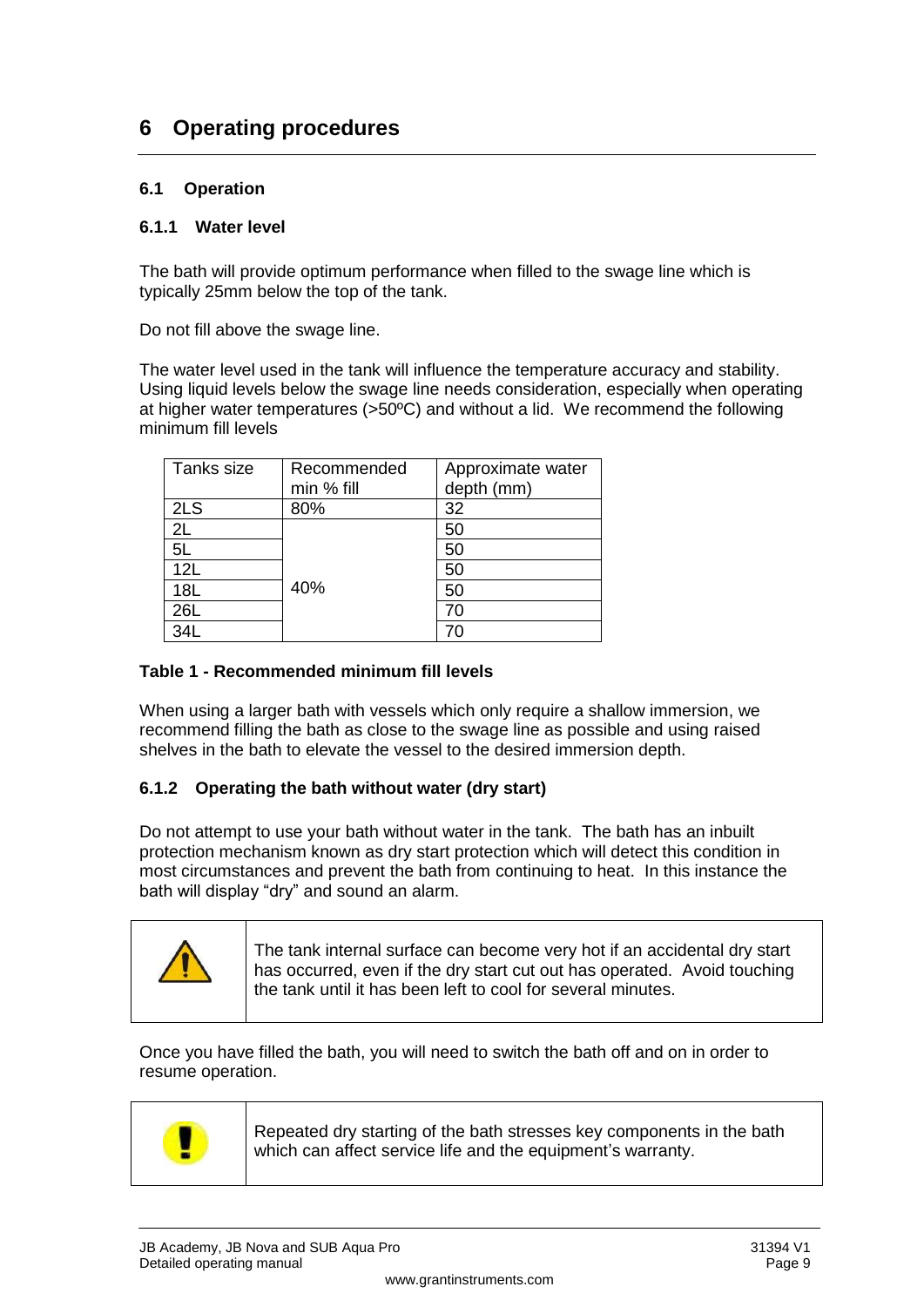## <span id="page-6-0"></span>**6 Operating procedures**

#### <span id="page-6-1"></span>**6.1 Operation**

#### **6.1.1 Water level**

The bath will provide optimum performance when filled to the swage line which is typically 25mm below the top of the tank.

Do not fill above the swage line.

The water level used in the tank will influence the temperature accuracy and stability. Using liquid levels below the swage line needs consideration, especially when operating at higher water temperatures (>50ºC) and without a lid. We recommend the following minimum fill levels

| Tanks size | Recommended | Approximate water |
|------------|-------------|-------------------|
|            | min % fill  | depth (mm)        |
| 2LS        | 80%         | 32                |
| 2L         |             | 50                |
| 5L         |             | 50                |
| 12L        |             | 50                |
| 18L        | 40%         | 50                |
| 26L        |             | 70                |
| 34L        |             | 70                |

#### **Table 1 - Recommended minimum fill levels**

When using a larger bath with vessels which only require a shallow immersion, we recommend filling the bath as close to the swage line as possible and using raised shelves in the bath to elevate the vessel to the desired immersion depth.

#### **6.1.2 Operating the bath without water (dry start)**

Do not attempt to use your bath without water in the tank. The bath has an inbuilt protection mechanism known as dry start protection which will detect this condition in most circumstances and prevent the bath from continuing to heat. In this instance the bath will display "dry" and sound an alarm.



Once you have filled the bath, you will need to switch the bath off and on in order to resume operation.



Repeated dry starting of the bath stresses key components in the bath which can affect service life and the equipment's warranty.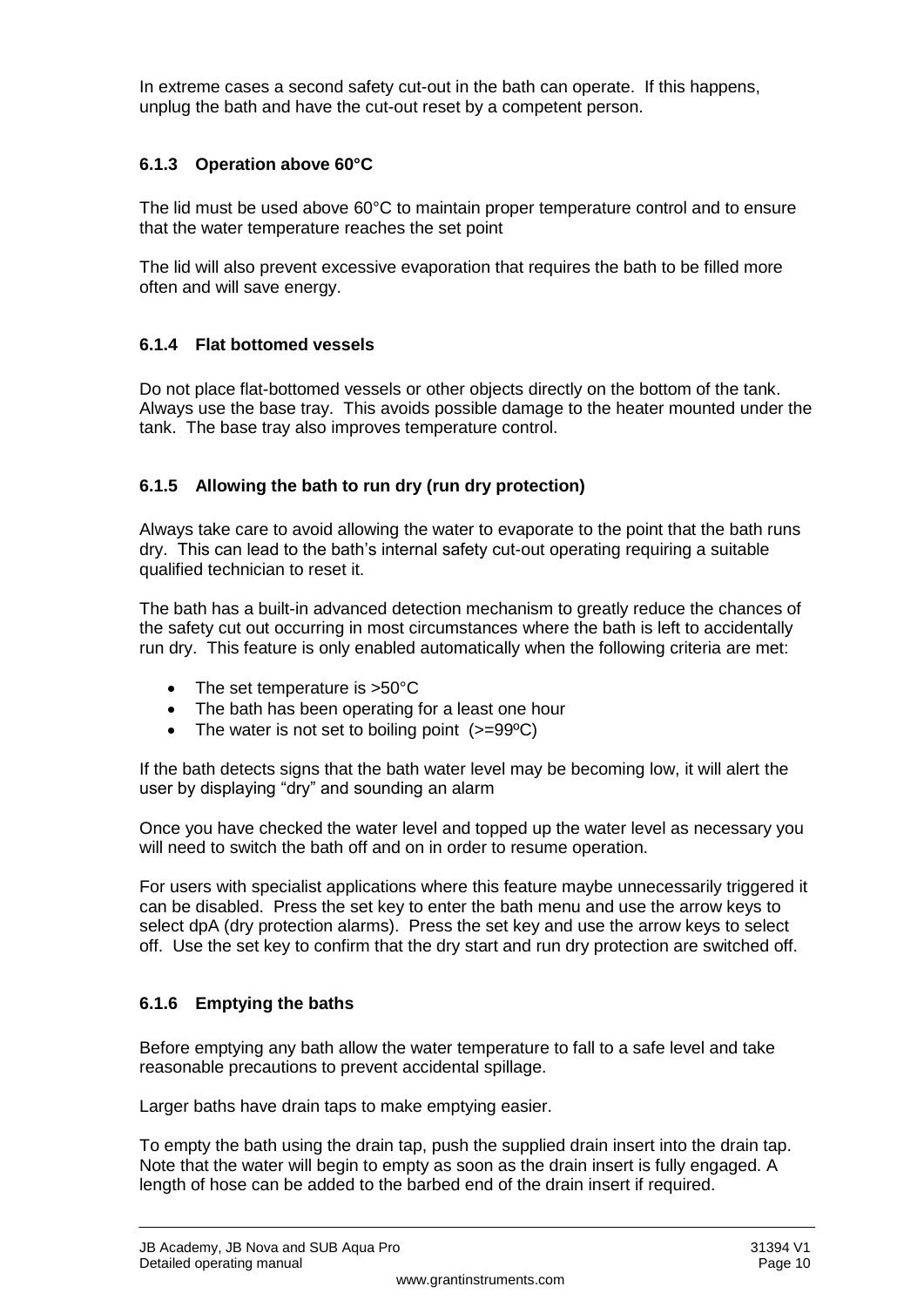In extreme cases a second safety cut-out in the bath can operate. If this happens, unplug the bath and have the cut-out reset by a competent person.

#### **6.1.3 Operation above 60°C**

The lid must be used above 60°C to maintain proper temperature control and to ensure that the water temperature reaches the set point

The lid will also prevent excessive evaporation that requires the bath to be filled more often and will save energy.

#### **6.1.4 Flat bottomed vessels**

Do not place flat-bottomed vessels or other objects directly on the bottom of the tank. Always use the base tray. This avoids possible damage to the heater mounted under the tank. The base tray also improves temperature control.

#### **6.1.5 Allowing the bath to run dry (run dry protection)**

Always take care to avoid allowing the water to evaporate to the point that the bath runs dry. This can lead to the bath's internal safety cut-out operating requiring a suitable qualified technician to reset it.

The bath has a built-in advanced detection mechanism to greatly reduce the chances of the safety cut out occurring in most circumstances where the bath is left to accidentally run dry. This feature is only enabled automatically when the following criteria are met:

- The set temperature is >50°C
- The bath has been operating for a least one hour
- The water is not set to boiling point  $(>=99^{\circ}C)$

If the bath detects signs that the bath water level may be becoming low, it will alert the user by displaying "dry" and sounding an alarm

Once you have checked the water level and topped up the water level as necessary you will need to switch the bath off and on in order to resume operation.

For users with specialist applications where this feature maybe unnecessarily triggered it can be disabled. Press the set key to enter the bath menu and use the arrow keys to select dpA (dry protection alarms). Press the set key and use the arrow keys to select off. Use the set key to confirm that the dry start and run dry protection are switched off.

#### **6.1.6 Emptying the baths**

Before emptying any bath allow the water temperature to fall to a safe level and take reasonable precautions to prevent accidental spillage.

Larger baths have drain taps to make emptying easier.

To empty the bath using the drain tap, push the supplied drain insert into the drain tap. Note that the water will begin to empty as soon as the drain insert is fully engaged. A length of hose can be added to the barbed end of the drain insert if required.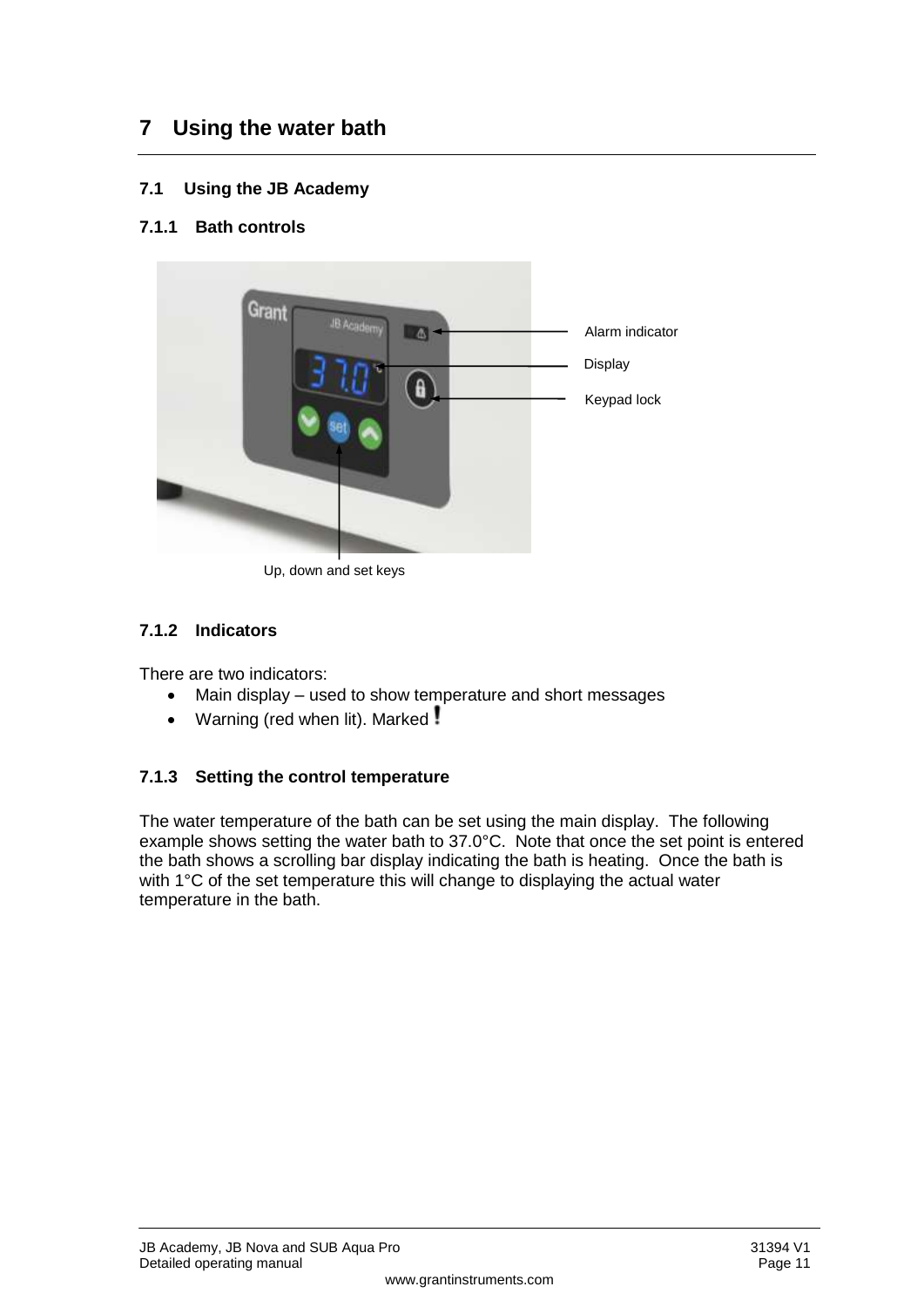## <span id="page-8-0"></span>**7 Using the water bath**

- <span id="page-8-1"></span>**7.1 Using the JB Academy**
- **7.1.1 Bath controls**



Up, down and set keys

#### **7.1.2 Indicators**

There are two indicators:

- Main display used to show temperature and short messages
- Warning (red when lit). Marked!

#### <span id="page-8-2"></span>**7.1.3 Setting the control temperature**

The water temperature of the bath can be set using the main display. The following example shows setting the water bath to 37.0°C. Note that once the set point is entered the bath shows a scrolling bar display indicating the bath is heating. Once the bath is with 1°C of the set temperature this will change to displaying the actual water temperature in the bath.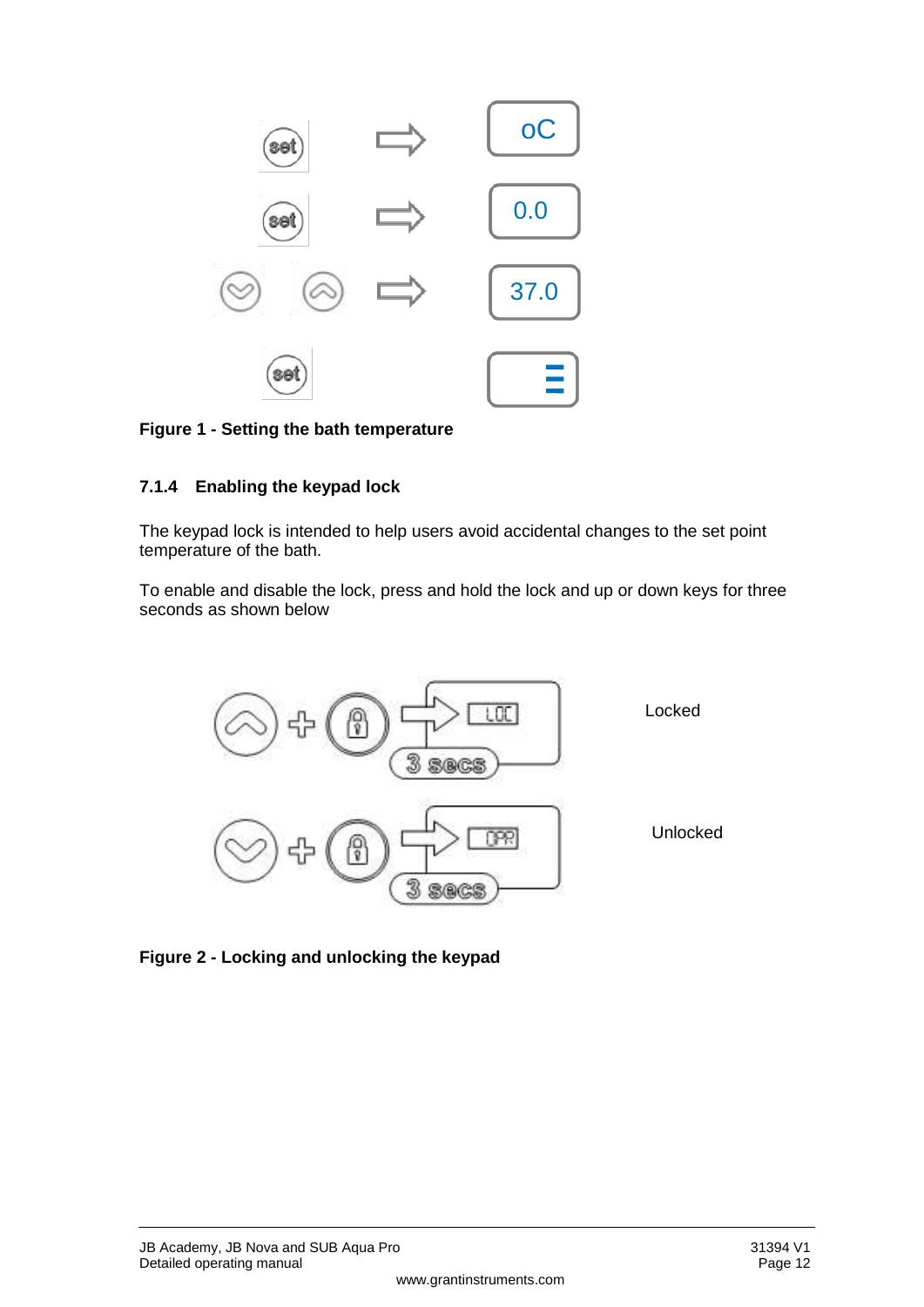

#### **Figure 1 - Setting the bath temperature**

#### **7.1.4 Enabling the keypad lock**

The keypad lock is intended to help users avoid accidental changes to the set point temperature of the bath.

To enable and disable the lock, press and hold the lock and up or down keys for three seconds as shown below



**Figure 2 - Locking and unlocking the keypad**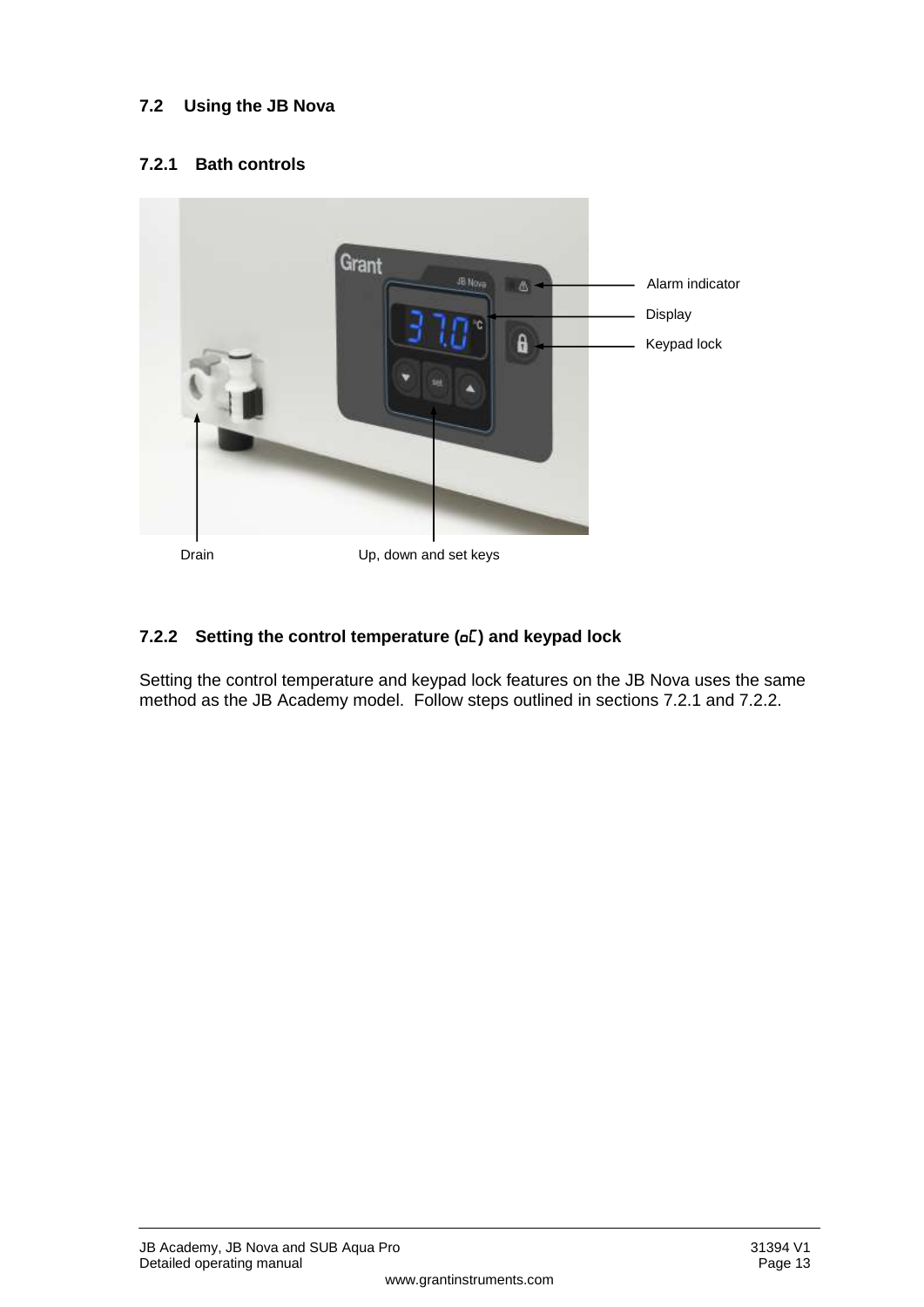#### <span id="page-10-0"></span>**7.2 Using the JB Nova**

#### **7.2.1 Bath controls**



Drain Up, down and set keys

#### **7.2.2** Setting the control temperature ( $\sigma$ E) and keypad lock

Setting the control temperature and keypad lock features on the JB Nova uses the same method as the JB Academy model. Follow steps outlined in sections 7.2.1 and 7.2.2.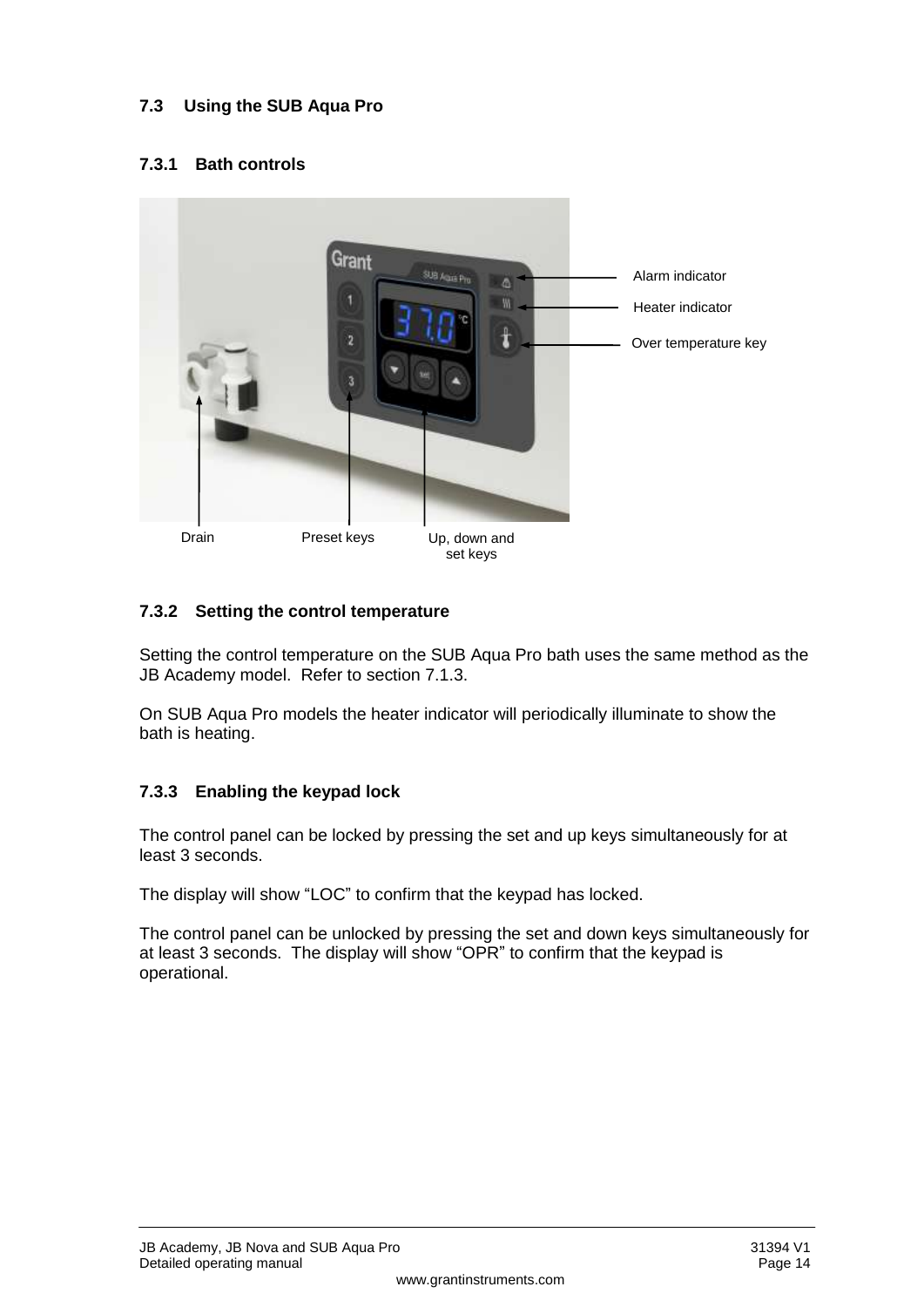#### <span id="page-11-0"></span>**7.3 Using the SUB Aqua Pro**

#### **7.3.1 Bath controls**



#### **7.3.2 Setting the control temperature**

Setting the control temperature on the SUB Aqua Pro bath uses the same method as the JB Academy model. Refer to section [7.1.3.](#page-8-2)

On SUB Aqua Pro models the heater indicator will periodically illuminate to show the bath is heating.

#### **7.3.3 Enabling the keypad lock**

The control panel can be locked by pressing the set and up keys simultaneously for at least 3 seconds.

The display will show "LOC" to confirm that the keypad has locked.

The control panel can be unlocked by pressing the set and down keys simultaneously for at least 3 seconds. The display will show "OPR" to confirm that the keypad is operational.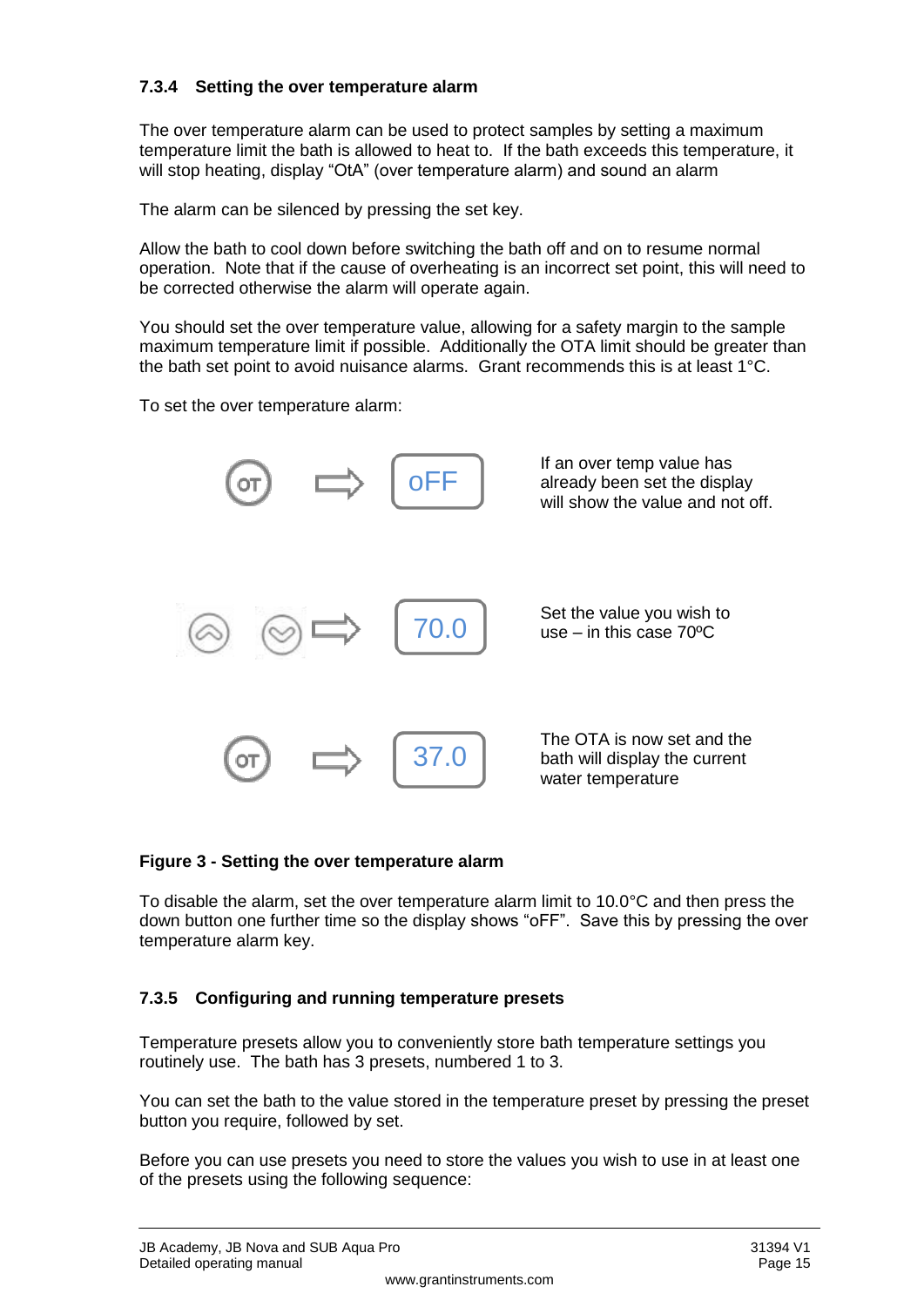#### **7.3.4 Setting the over temperature alarm**

The over temperature alarm can be used to protect samples by setting a maximum temperature limit the bath is allowed to heat to. If the bath exceeds this temperature, it will stop heating, display "OtA" (over temperature alarm) and sound an alarm

The alarm can be silenced by pressing the set key.

Allow the bath to cool down before switching the bath off and on to resume normal operation. Note that if the cause of overheating is an incorrect set point, this will need to be corrected otherwise the alarm will operate again.

You should set the over temperature value, allowing for a safety margin to the sample maximum temperature limit if possible. Additionally the OTA limit should be greater than the bath set point to avoid nuisance alarms. Grant recommends this is at least 1°C.

To set the over temperature alarm:



#### **Figure 3 - Setting the over temperature alarm**

To disable the alarm, set the over temperature alarm limit to 10.0°C and then press the down button one further time so the display shows "oFF". Save this by pressing the over temperature alarm key.

#### **7.3.5 Configuring and running temperature presets**

Temperature presets allow you to conveniently store bath temperature settings you routinely use. The bath has 3 presets, numbered 1 to 3.

You can set the bath to the value stored in the temperature preset by pressing the preset button you require, followed by set.

Before you can use presets you need to store the values you wish to use in at least one of the presets using the following sequence: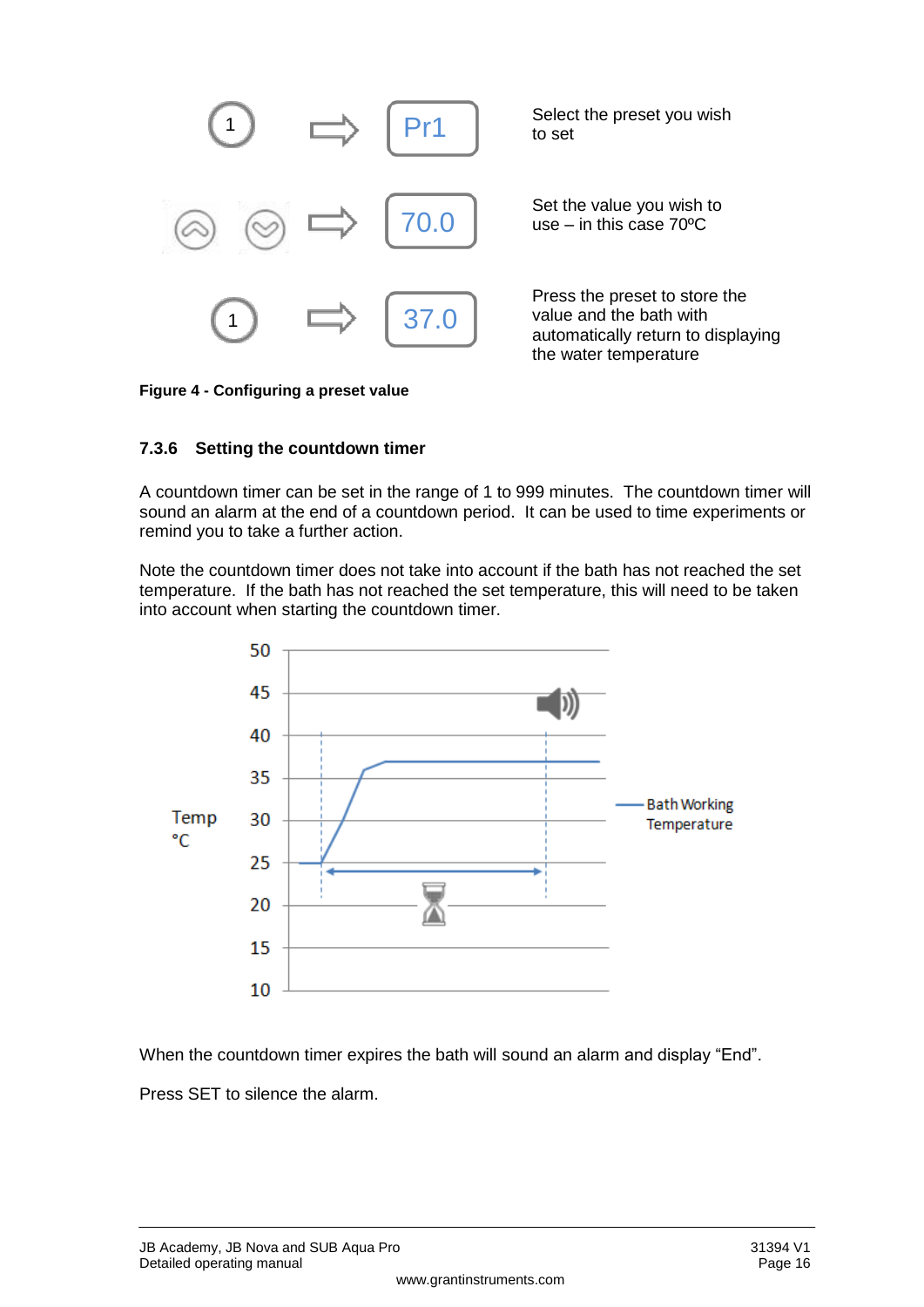

**Figure 4 - Configuring a preset value**

#### **7.3.6 Setting the countdown timer**

A countdown timer can be set in the range of 1 to 999 minutes. The countdown timer will sound an alarm at the end of a countdown period. It can be used to time experiments or remind you to take a further action.

Note the countdown timer does not take into account if the bath has not reached the set temperature. If the bath has not reached the set temperature, this will need to be taken into account when starting the countdown timer.



When the countdown timer expires the bath will sound an alarm and display "End".

Press SET to silence the alarm.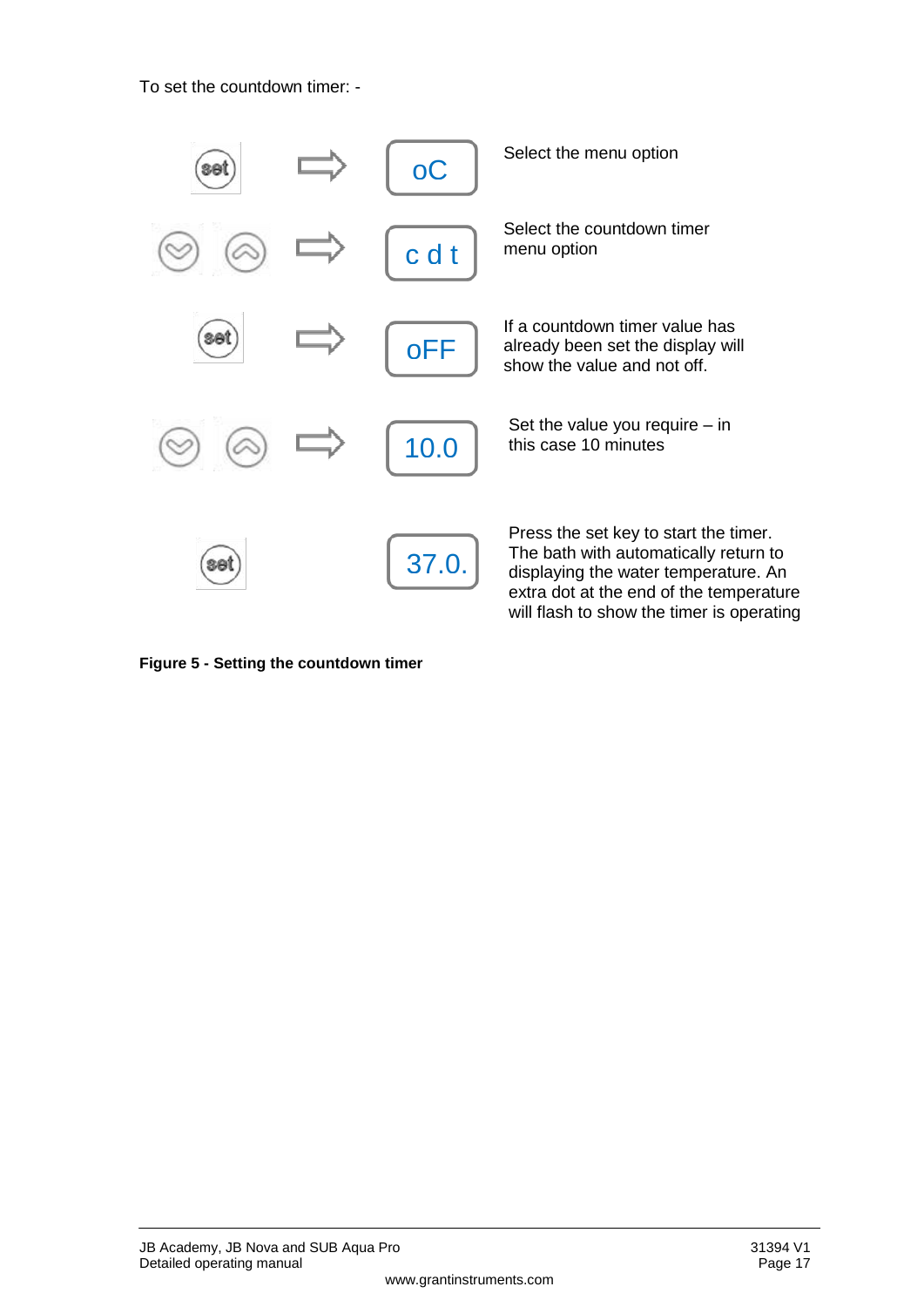To set the countdown timer: -



**Figure 5 - Setting the countdown timer**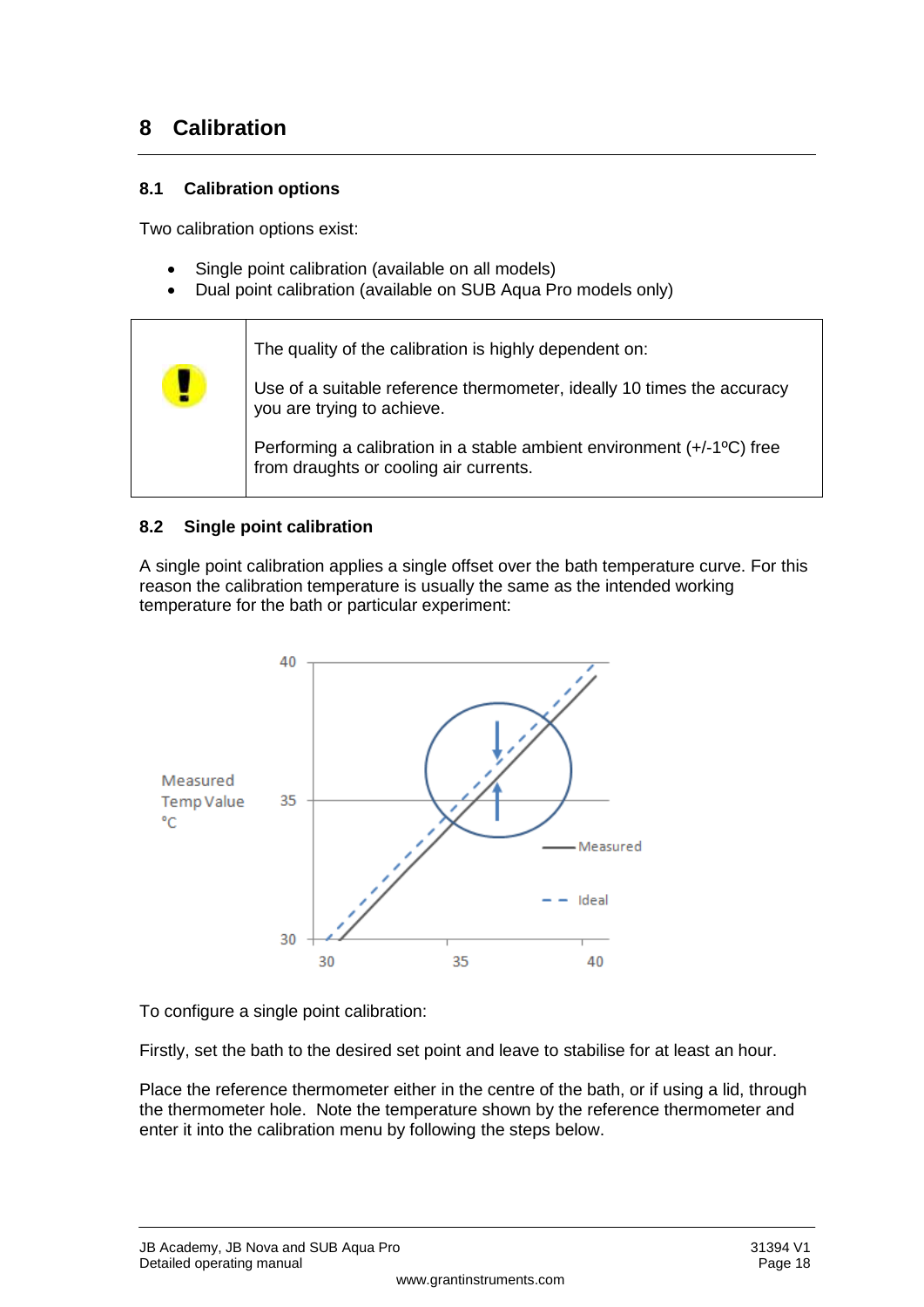## <span id="page-15-0"></span>**8 Calibration**

#### <span id="page-15-1"></span>**8.1 Calibration options**

Two calibration options exist:

- Single point calibration (available on all models)
- Dual point calibration (available on SUB Aqua Pro models only)



#### <span id="page-15-2"></span>**8.2 Single point calibration**

A single point calibration applies a single offset over the bath temperature curve. For this reason the calibration temperature is usually the same as the intended working temperature for the bath or particular experiment:



To configure a single point calibration:

Firstly, set the bath to the desired set point and leave to stabilise for at least an hour.

Place the reference thermometer either in the centre of the bath, or if using a lid, through the thermometer hole. Note the temperature shown by the reference thermometer and enter it into the calibration menu by following the steps below.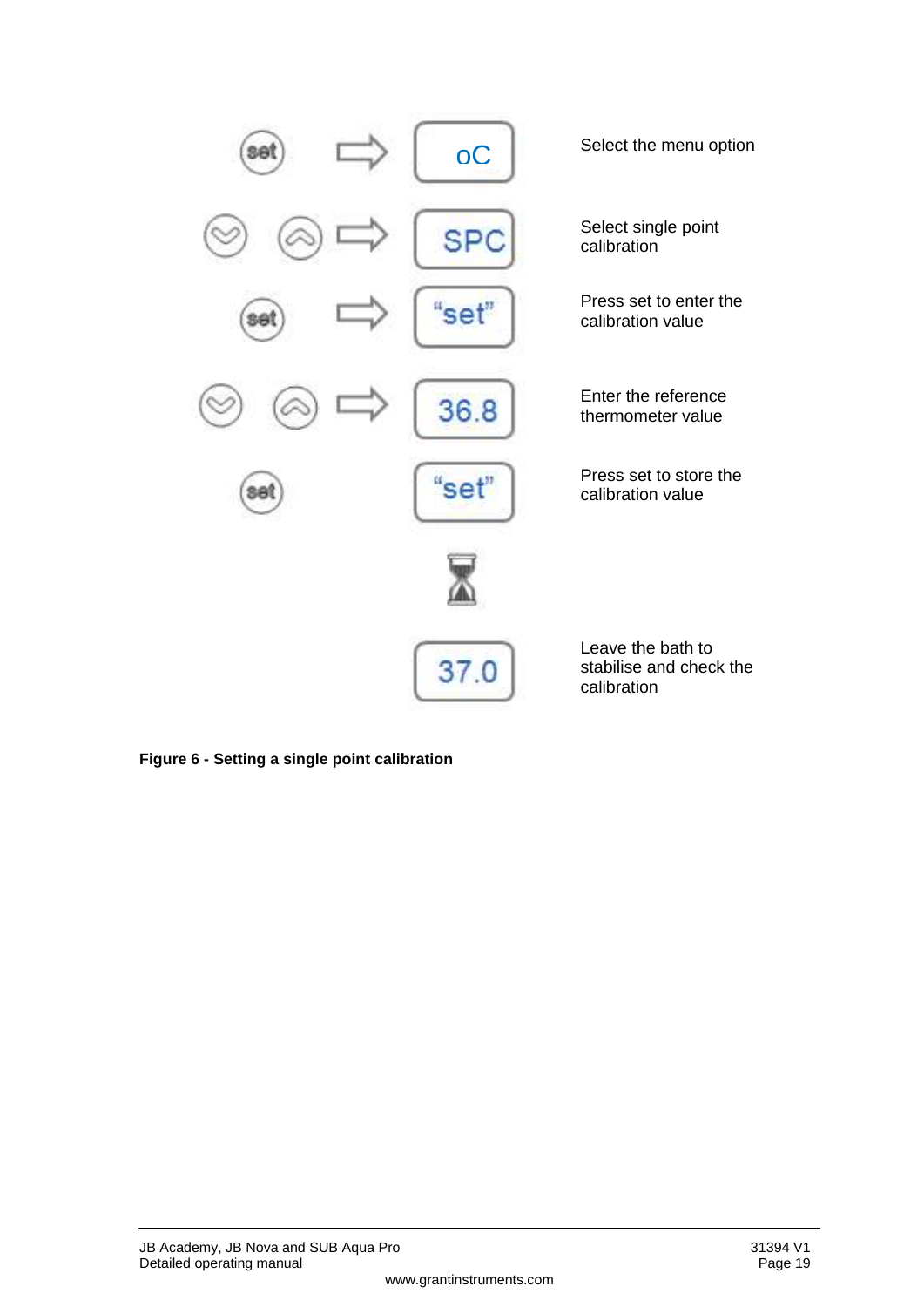

**Figure 6 - Setting a single point calibration**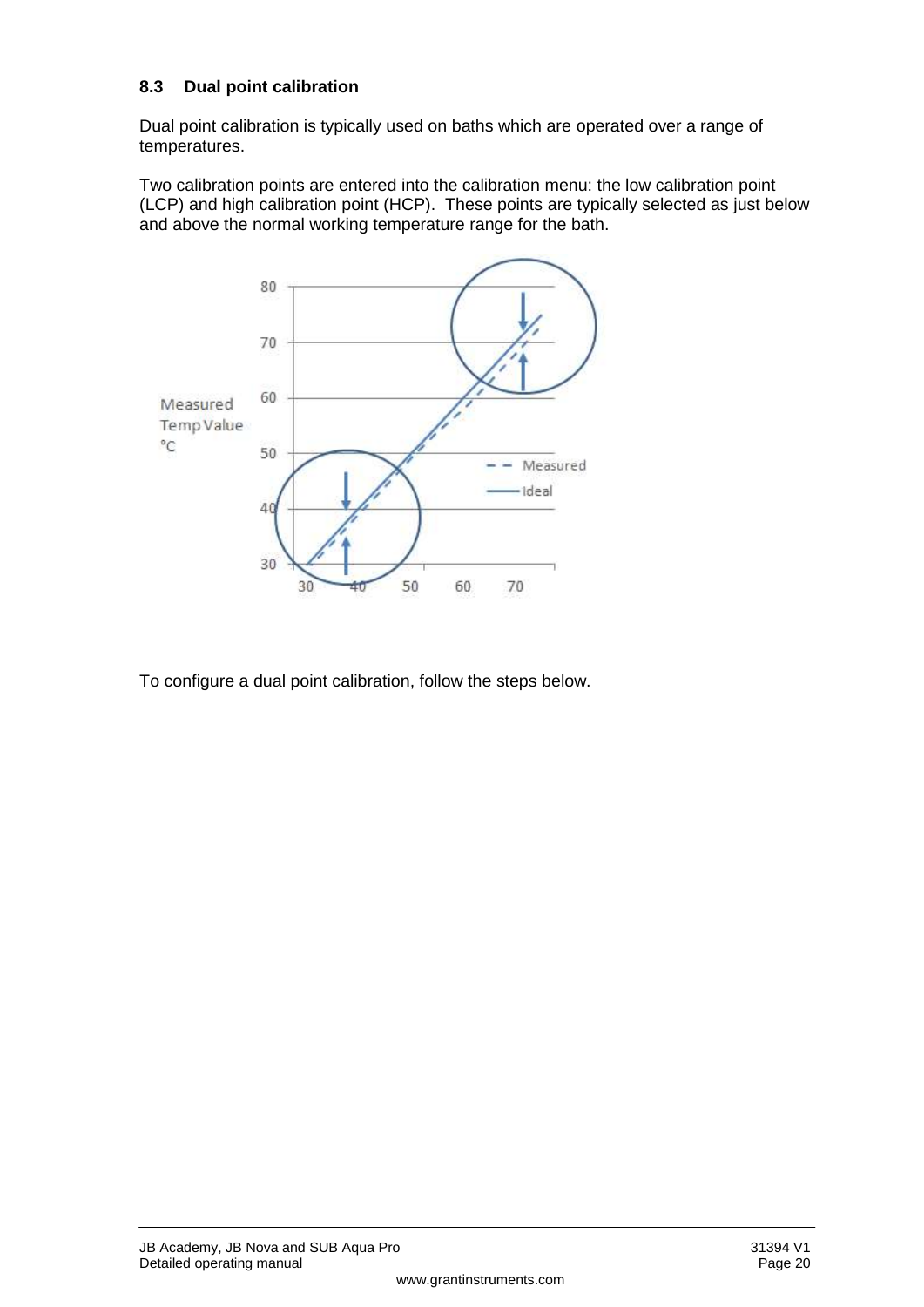#### <span id="page-17-0"></span>**8.3 Dual point calibration**

Dual point calibration is typically used on baths which are operated over a range of temperatures.

Two calibration points are entered into the calibration menu: the low calibration point (LCP) and high calibration point (HCP). These points are typically selected as just below and above the normal working temperature range for the bath.



To configure a dual point calibration, follow the steps below.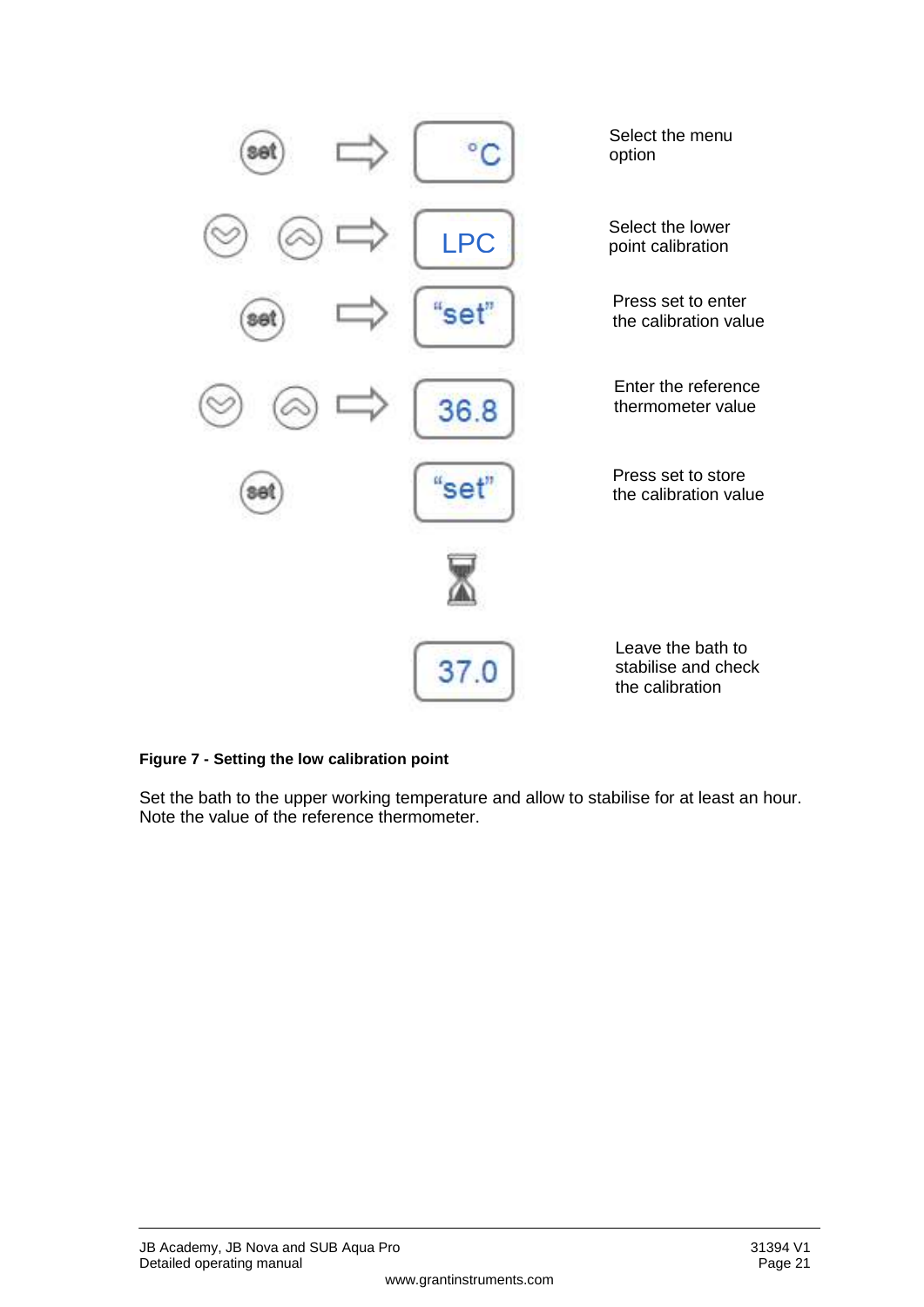

#### **Figure 7 - Setting the low calibration point**

Set the bath to the upper working temperature and allow to stabilise for at least an hour. Note the value of the reference thermometer.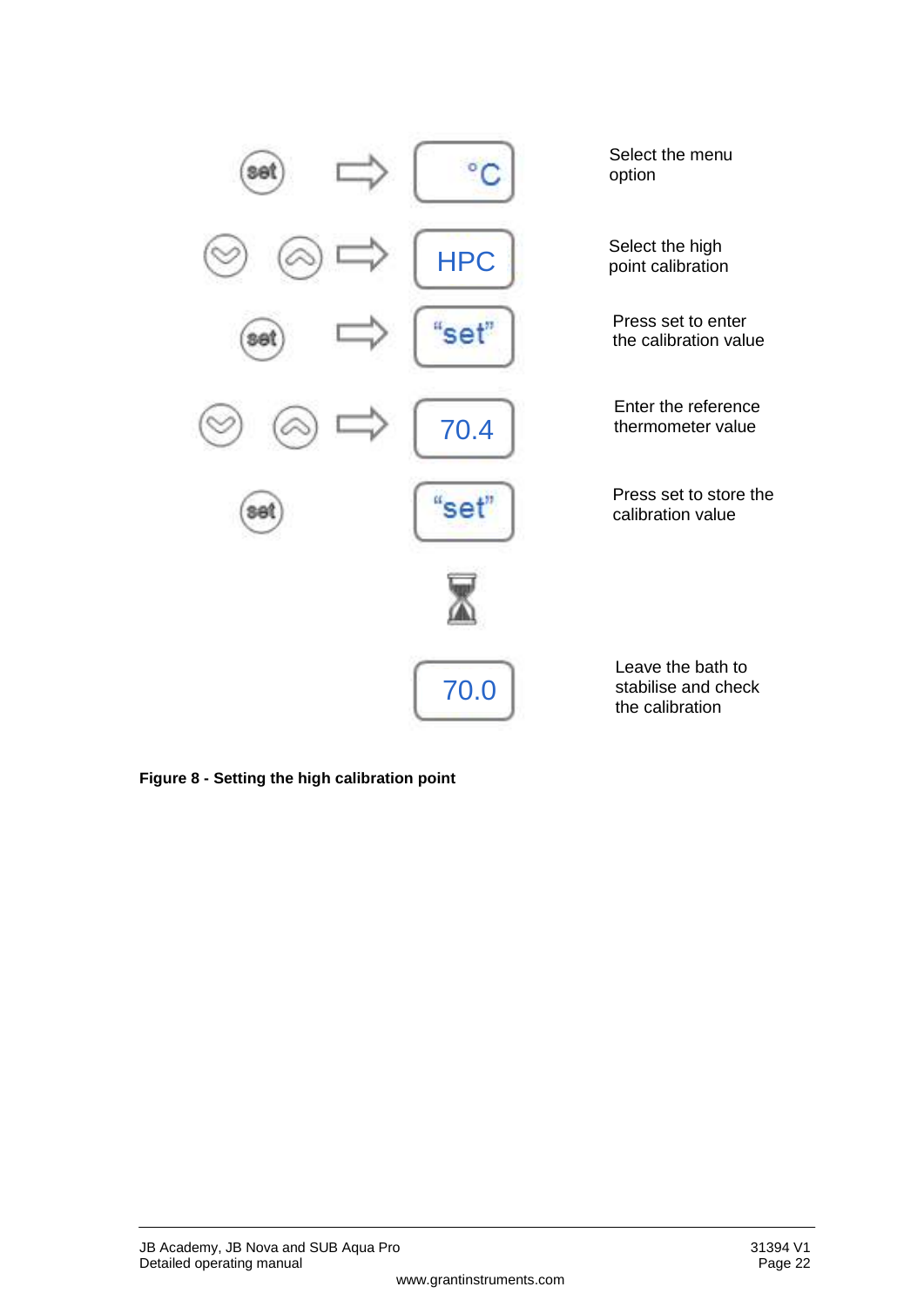

**Figure 8 - Setting the high calibration point**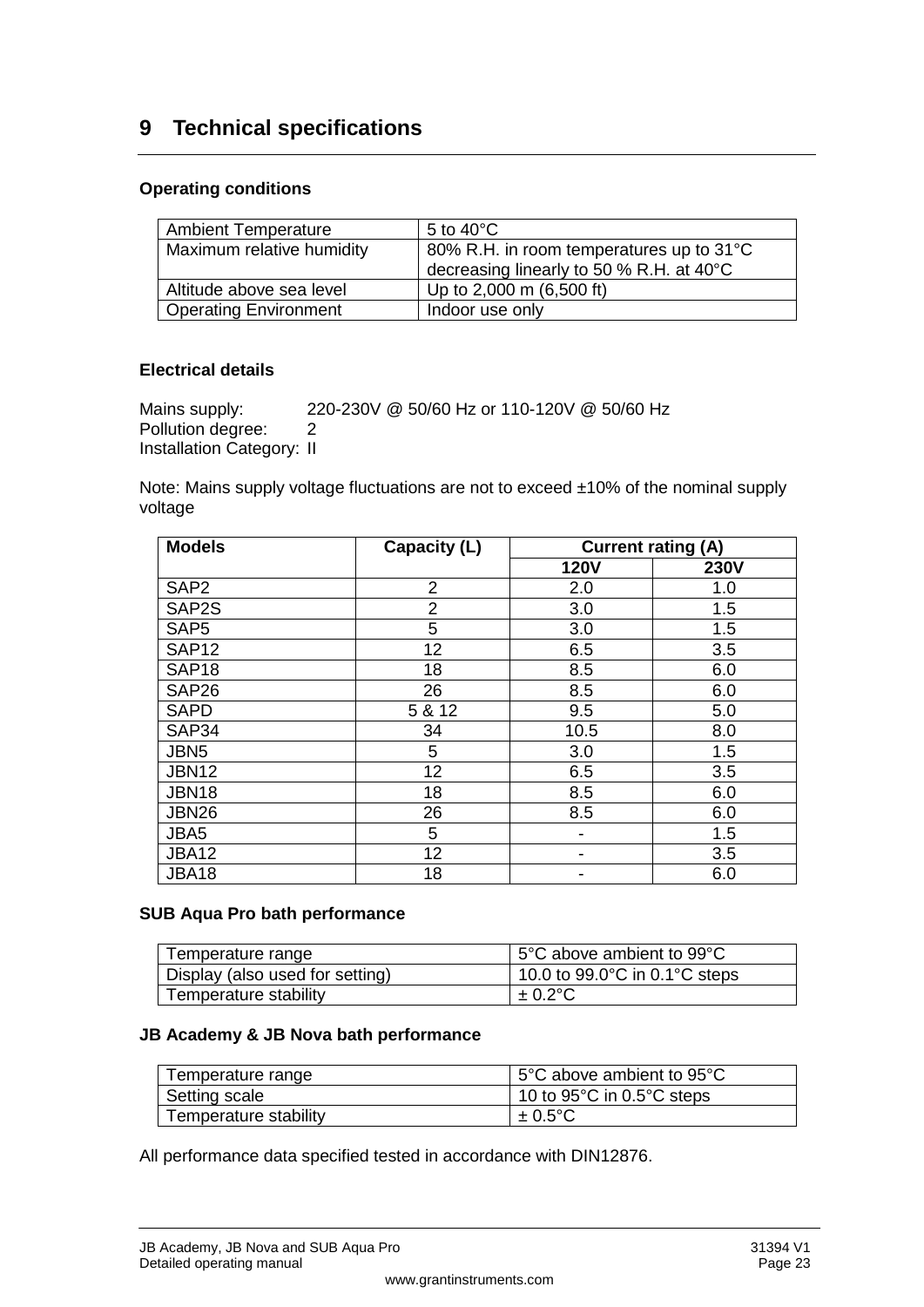## <span id="page-20-0"></span>**9 Technical specifications**

#### **Operating conditions**

| <b>Ambient Temperature</b>   | 5 to 40 $^{\circ}$ C                     |
|------------------------------|------------------------------------------|
| Maximum relative humidity    | 80% R.H. in room temperatures up to 31°C |
|                              | decreasing linearly to 50 % R.H. at 40°C |
| Altitude above sea level     | Up to 2,000 m (6,500 ft)                 |
| <b>Operating Environment</b> | Indoor use only                          |

#### **Electrical details**

Mains supply: 220-230V @ 50/60 Hz or 110-120V @ 50/60 Hz Pollution degree: 2 Installation Category: II

Note: Mains supply voltage fluctuations are not to exceed ±10% of the nominal supply voltage

| <b>Models</b>     | Capacity (L)   | <b>Current rating (A)</b> |             |
|-------------------|----------------|---------------------------|-------------|
|                   |                | <b>120V</b>               | <b>230V</b> |
| SAP <sub>2</sub>  | $\overline{2}$ | 2.0                       | 1.0         |
| SAP2S             | $\overline{2}$ | 3.0                       | 1.5         |
| SAP <sub>5</sub>  | 5              | 3.0                       | 1.5         |
| <b>SAP12</b>      | 12             | 6.5                       | 3.5         |
| SAP <sub>18</sub> | 18             | 8.5                       | 6.0         |
| SAP <sub>26</sub> | 26             | 8.5                       | 6.0         |
| <b>SAPD</b>       | 5 & 12         | 9.5                       | 5.0         |
| SAP34             | 34             | 10.5                      | 8.0         |
| JBN <sub>5</sub>  | 5              | 3.0                       | 1.5         |
| <b>JBN12</b>      | 12             | 6.5                       | 3.5         |
| <b>JBN18</b>      | 18             | 8.5                       | 6.0         |
| <b>JBN26</b>      | 26             | 8.5                       | 6.0         |
| JBA5              | 5              | $\overline{\phantom{a}}$  | 1.5         |
| <b>JBA12</b>      | 12             |                           | 3.5         |
| <b>JBA18</b>      | 18             |                           | 6.0         |

#### **SUB Aqua Pro bath performance**

| Temperature range               | 5°C above ambient to 99°C                          |  |
|---------------------------------|----------------------------------------------------|--|
| Display (also used for setting) | 10.0 to $99.0^{\circ}$ C in 0.1 $^{\circ}$ C steps |  |
| Temperature stability           | $\pm$ 0.2°C                                        |  |

#### **JB Academy & JB Nova bath performance**

| Temperature range     | ∣ 5°C above ambient to 95°C                     |  |
|-----------------------|-------------------------------------------------|--|
| Setting scale         | 10 to 95 $^{\circ}$ C in 0.5 $^{\circ}$ C steps |  |
| Temperature stability | $\pm 0.5$ °C                                    |  |

All performance data specified tested in accordance with DIN12876.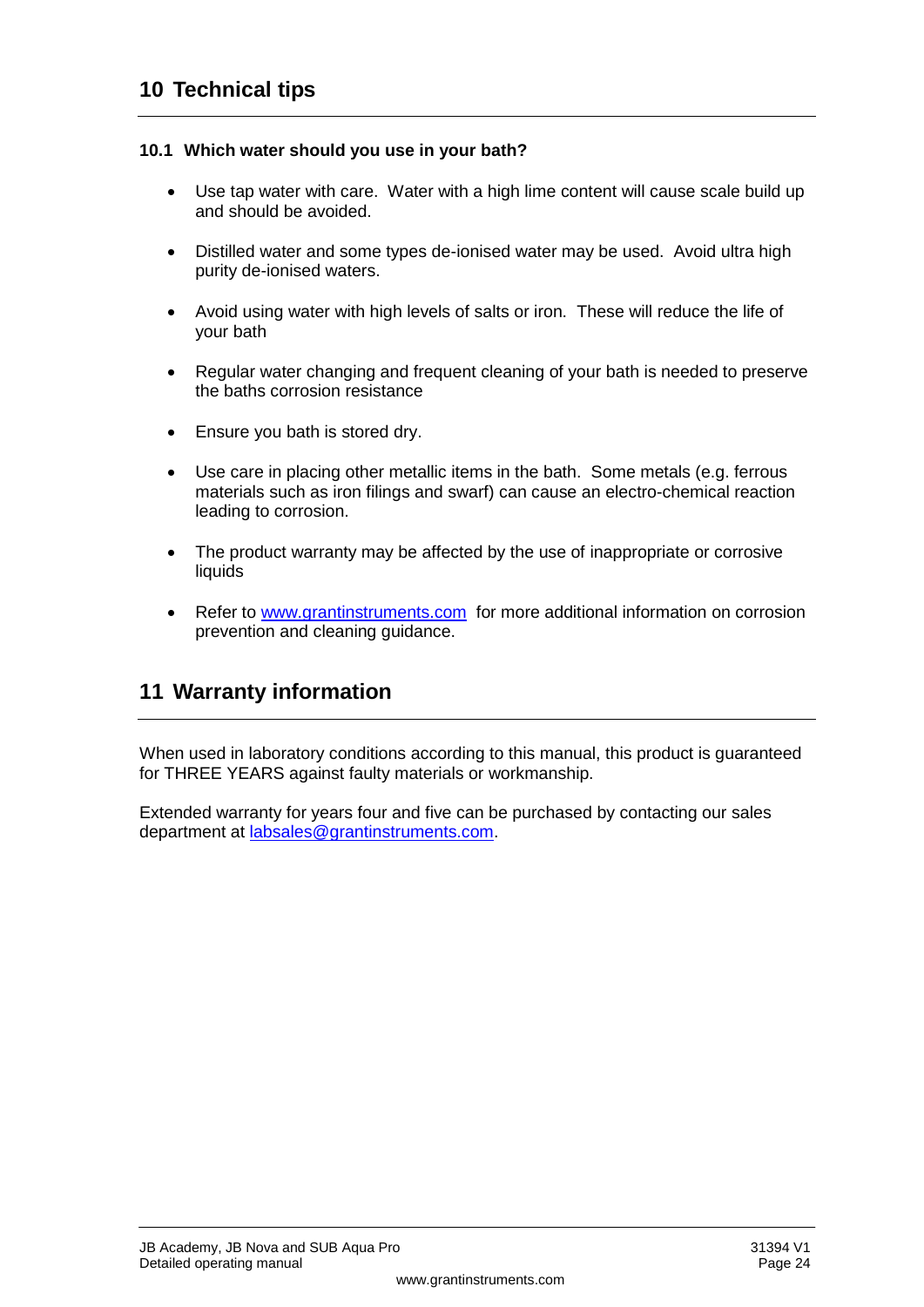#### <span id="page-21-1"></span><span id="page-21-0"></span>**10.1 Which water should you use in your bath?**

- Use tap water with care. Water with a high lime content will cause scale build up and should be avoided.
- Distilled water and some types de-ionised water may be used. Avoid ultra high purity de-ionised waters.
- Avoid using water with high levels of salts or iron. These will reduce the life of your bath
- Regular water changing and frequent cleaning of your bath is needed to preserve the baths corrosion resistance
- Ensure you bath is stored dry.
- Use care in placing other metallic items in the bath. Some metals (e.g. ferrous materials such as iron filings and swarf) can cause an electro-chemical reaction leading to corrosion.
- The product warranty may be affected by the use of inappropriate or corrosive liquids
- Refer to [www.grantinstruments.com](http://www.grantinstruments.com/) for more additional information on corrosion prevention and cleaning guidance.

## <span id="page-21-2"></span>**11 Warranty information**

When used in laboratory conditions according to this manual, this product is guaranteed for THREE YEARS against faulty materials or workmanship.

Extended warranty for years four and five can be purchased by contacting our sales department at [labsales@grantinstruments.com.](mailto:labsales@grant.co.uk)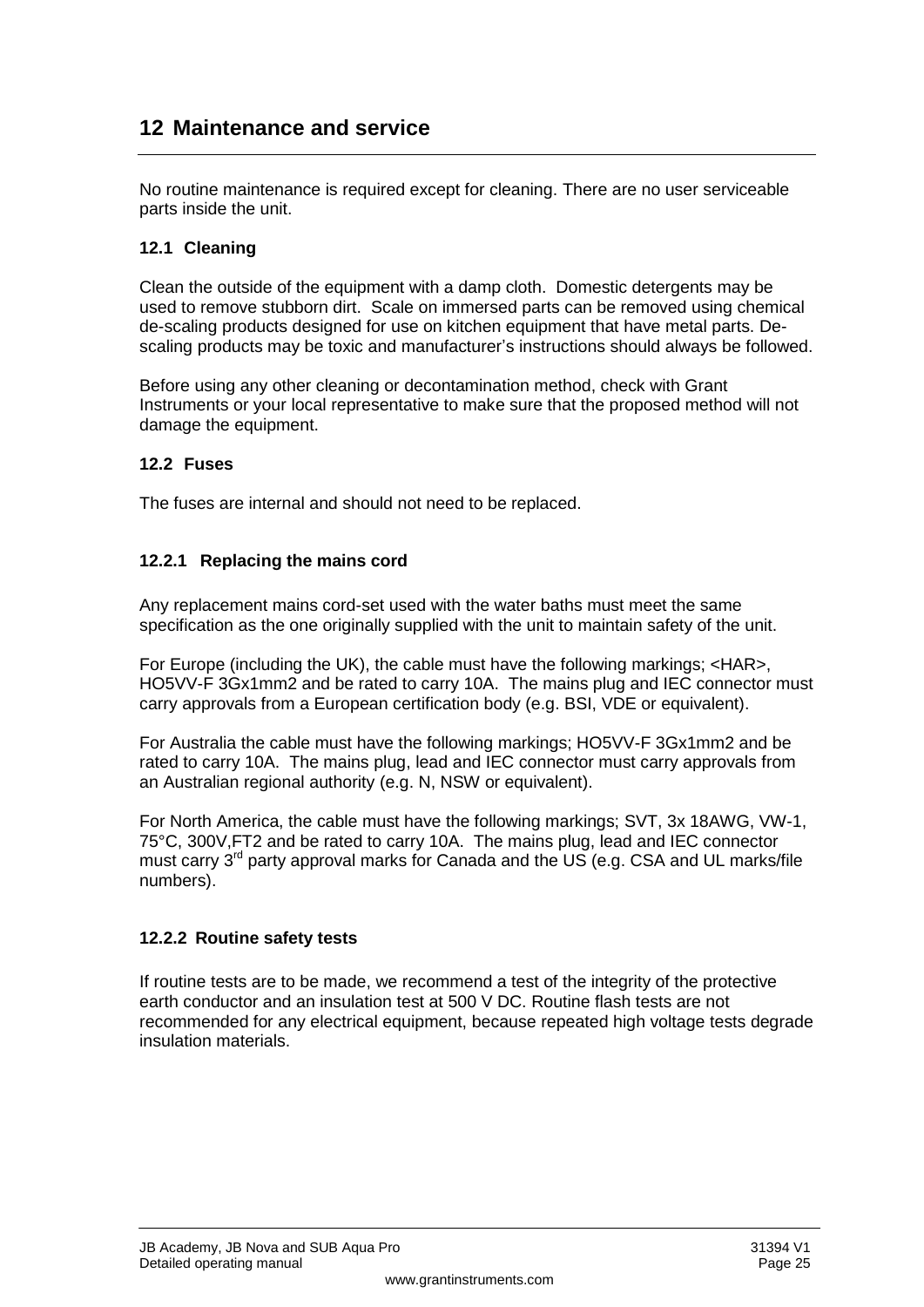## <span id="page-22-0"></span>**12 Maintenance and service**

No routine maintenance is required except for cleaning. There are no user serviceable parts inside the unit.

#### <span id="page-22-1"></span>**12.1 Cleaning**

Clean the outside of the equipment with a damp cloth. Domestic detergents may be used to remove stubborn dirt. Scale on immersed parts can be removed using chemical de-scaling products designed for use on kitchen equipment that have metal parts. Descaling products may be toxic and manufacturer's instructions should always be followed.

Before using any other cleaning or decontamination method, check with Grant Instruments or your local representative to make sure that the proposed method will not damage the equipment.

#### <span id="page-22-2"></span>**12.2 Fuses**

The fuses are internal and should not need to be replaced.

#### **12.2.1 Replacing the mains cord**

Any replacement mains cord-set used with the water baths must meet the same specification as the one originally supplied with the unit to maintain safety of the unit.

For Europe (including the UK), the cable must have the following markings; <HAR>, HO5VV-F 3Gx1mm2 and be rated to carry 10A. The mains plug and IEC connector must carry approvals from a European certification body (e.g. BSI, VDE or equivalent).

For Australia the cable must have the following markings; HO5VV-F 3Gx1mm2 and be rated to carry 10A. The mains plug, lead and IEC connector must carry approvals from an Australian regional authority (e.g. N, NSW or equivalent).

For North America, the cable must have the following markings; SVT, 3x 18AWG, VW-1, 75°C, 300V,FT2 and be rated to carry 10A. The mains plug, lead and IEC connector must carry 3rd party approval marks for Canada and the US (e.g. CSA and UL marks/file numbers).

#### **12.2.2 Routine safety tests**

If routine tests are to be made, we recommend a test of the integrity of the protective earth conductor and an insulation test at 500 V DC. Routine flash tests are not recommended for any electrical equipment, because repeated high voltage tests degrade insulation materials.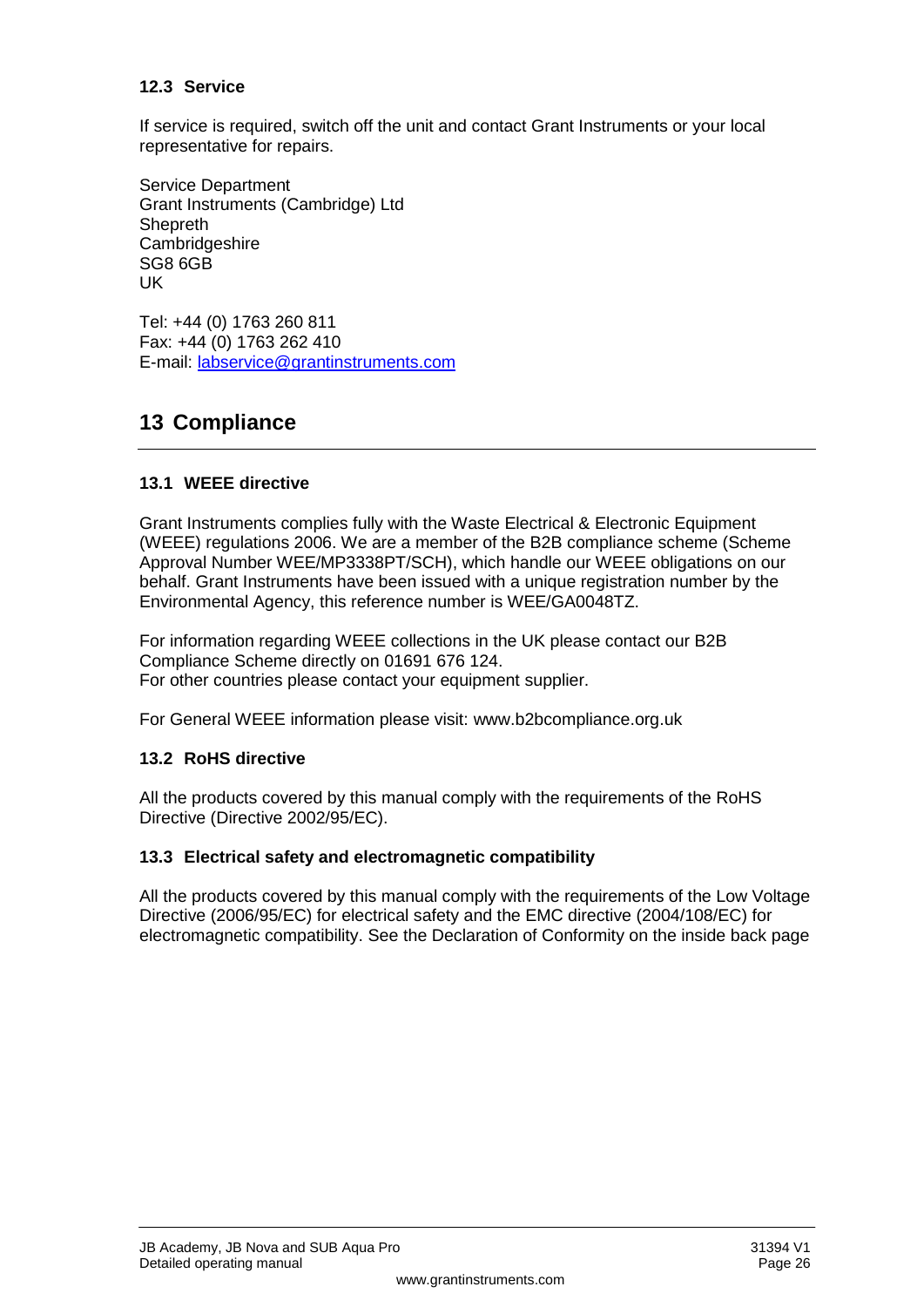#### <span id="page-23-0"></span>**12.3 Service**

If service is required, switch off the unit and contact Grant Instruments or your local representative for repairs.

Service Department Grant Instruments (Cambridge) Ltd **Shepreth Cambridgeshire** SG8 6GB UK

Tel: +44 (0) 1763 260 811 Fax: +44 (0) 1763 262 410 E-mail: [labservice@grantinstruments.com](../../../../alan.weeks/AppData/Local/Temp/Temp1_multilanguage%2028727(6)%20JB,%20SUB%20&%20SBB%20Aqua%20Manual_new.zip/labservice@grant.co.uk)

## <span id="page-23-1"></span>**13 Compliance**

#### <span id="page-23-2"></span>**13.1 WEEE directive**

Grant Instruments complies fully with the Waste Electrical & Electronic Equipment (WEEE) regulations 2006. We are a member of the B2B compliance scheme (Scheme Approval Number WEE/MP3338PT/SCH), which handle our WEEE obligations on our behalf. Grant Instruments have been issued with a unique registration number by the Environmental Agency, this reference number is WEE/GA0048TZ.

For information regarding WEEE collections in the UK please contact our B2B Compliance Scheme directly on 01691 676 124. For other countries please contact your equipment supplier.

For General WEEE information please visit: [www.b2bcompliance.org.uk](http://www.b2bcompliance.org.uk/)

#### <span id="page-23-3"></span>**13.2 RoHS directive**

All the products covered by this manual comply with the requirements of the RoHS Directive (Directive 2002/95/EC).

#### <span id="page-23-4"></span>**13.3 Electrical safety and electromagnetic compatibility**

All the products covered by this manual comply with the requirements of the Low Voltage Directive (2006/95/EC) for electrical safety and the EMC directive (2004/108/EC) for electromagnetic compatibility. See the Declaration of Conformity on the inside back page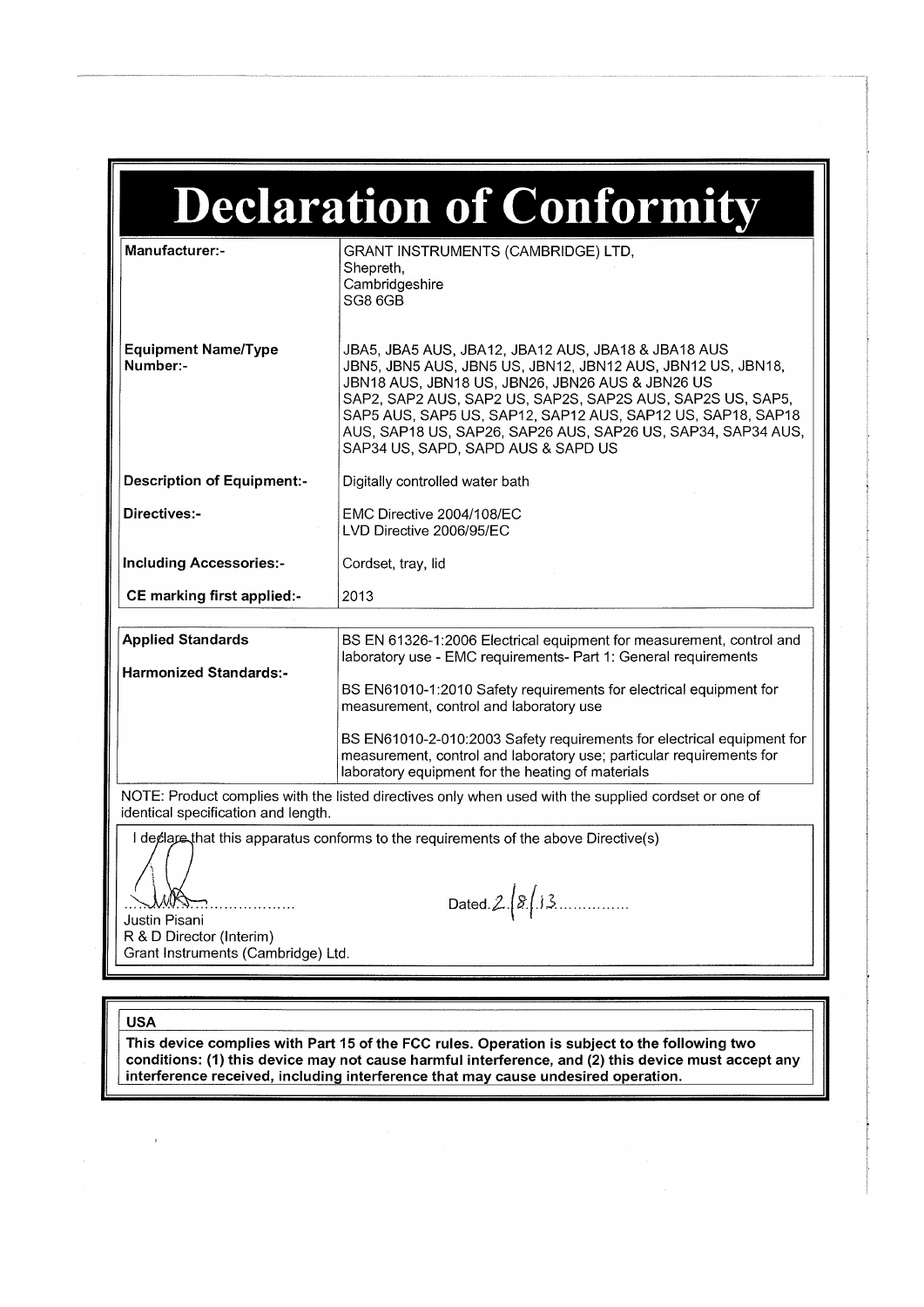| <b>Declaration of Conformity</b>                                                     |                                                                                                                                                                                                                                                                                                                                                                                                           |  |  |
|--------------------------------------------------------------------------------------|-----------------------------------------------------------------------------------------------------------------------------------------------------------------------------------------------------------------------------------------------------------------------------------------------------------------------------------------------------------------------------------------------------------|--|--|
| Manufacturer:-                                                                       | GRANT INSTRUMENTS (CAMBRIDGE) LTD,<br>Shepreth,<br>Cambridgeshire<br>SG8 6GB                                                                                                                                                                                                                                                                                                                              |  |  |
| <b>Equipment Name/Type</b><br>Number:-                                               | JBA5, JBA5 AUS, JBA12, JBA12 AUS, JBA18 & JBA18 AUS<br>JBN5, JBN5 AUS, JBN5 US, JBN12, JBN12 AUS, JBN12 US, JBN18,<br>JBN18 AUS, JBN18 US, JBN26, JBN26 AUS & JBN26 US<br>SAP2, SAP2 AUS, SAP2 US, SAP2S, SAP2S AUS, SAP2S US, SAP5,<br>SAP5 AUS, SAP5 US, SAP12, SAP12 AUS, SAP12 US, SAP18, SAP18<br>AUS, SAP18 US, SAP26, SAP26 AUS, SAP26 US, SAP34, SAP34 AUS,<br>SAP34 US, SAPD, SAPD AUS & SAPD US |  |  |
| <b>Description of Equipment:-</b>                                                    | Digitally controlled water bath                                                                                                                                                                                                                                                                                                                                                                           |  |  |
| Directives:-                                                                         | EMC Directive 2004/108/EC<br>LVD Directive 2006/95/EC                                                                                                                                                                                                                                                                                                                                                     |  |  |
| <b>Including Accessories:-</b>                                                       | Cordset, tray, lid                                                                                                                                                                                                                                                                                                                                                                                        |  |  |
| CE marking first applied:-                                                           | 2013                                                                                                                                                                                                                                                                                                                                                                                                      |  |  |
|                                                                                      |                                                                                                                                                                                                                                                                                                                                                                                                           |  |  |
| <b>Applied Standards</b>                                                             | BS EN 61326-1:2006 Electrical equipment for measurement, control and<br>laboratory use - EMC requirements- Part 1: General requirements                                                                                                                                                                                                                                                                   |  |  |
| <b>Harmonized Standards:-</b>                                                        | BS EN61010-1:2010 Safety requirements for electrical equipment for<br>measurement, control and laboratory use                                                                                                                                                                                                                                                                                             |  |  |
|                                                                                      | BS EN61010-2-010:2003 Safety requirements for electrical equipment for<br>measurement, control and laboratory use; particular requirements for<br>laboratory equipment for the heating of materials                                                                                                                                                                                                       |  |  |
| identical specification and length.                                                  | NOTE: Product complies with the listed directives only when used with the supplied cordset or one of                                                                                                                                                                                                                                                                                                      |  |  |
| I declare that this apparatus conforms to the requirements of the above Directive(s) |                                                                                                                                                                                                                                                                                                                                                                                                           |  |  |
| Dated $2\sqrt{8}/13$ .<br>Justin Pisani                                              |                                                                                                                                                                                                                                                                                                                                                                                                           |  |  |
| R & D Director (Interim)<br>Grant Instruments (Cambridge) Ltd.                       |                                                                                                                                                                                                                                                                                                                                                                                                           |  |  |
|                                                                                      |                                                                                                                                                                                                                                                                                                                                                                                                           |  |  |
| <b>USA</b>                                                                           |                                                                                                                                                                                                                                                                                                                                                                                                           |  |  |
|                                                                                      | This device complies with Part 15 of the FCC rules. Operation is subject to the following two                                                                                                                                                                                                                                                                                                             |  |  |

conditions: (1) this device may not cause harmful interference, and (2) this device must accept any interference received, including interference that may cause undesired operation.

 $\hat{\mathcal{A}}$  and  $\hat{\mathcal{A}}$ 

 $\parallel$